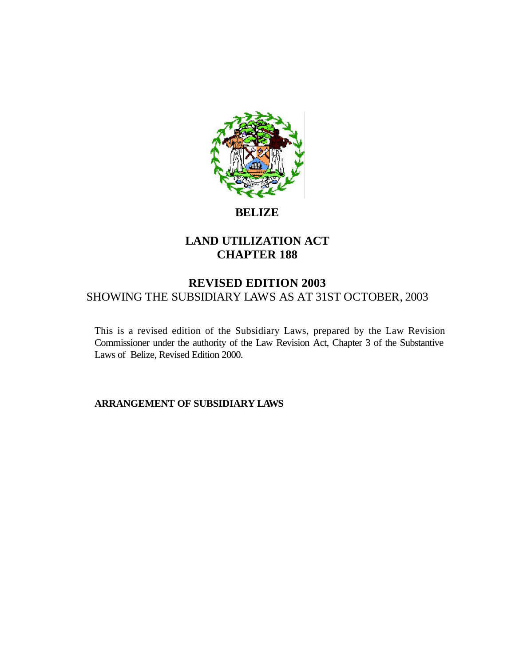

# **BELIZE**

# **LAND UTILIZATION ACT CHAPTER 188**

# **REVISED EDITION 2003** SHOWING THE SUBSIDIARY LAWS AS AT 31ST OCTOBER, 2003

This is a revised edition of the Subsidiary Laws, prepared by the Law Revision Commissioner under the authority of the Law Revision Act, Chapter 3 of the Substantive Laws of Belize, Revised Edition 2000.

**ARRANGEMENT OF SUBSIDIARY LAWS**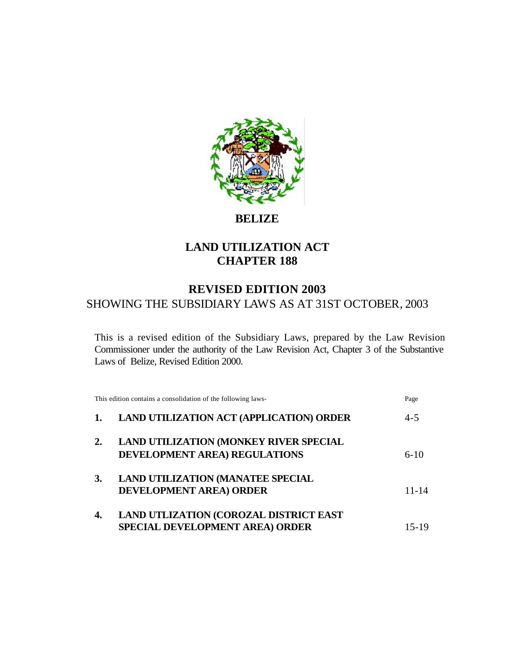

**BELIZE**

# **LAND UTILIZATION ACT CHAPTER 188**

# **REVISED EDITION 2003** SHOWING THE SUBSIDIARY LAWS AS AT 31ST OCTOBER, 2003

This is a revised edition of the Subsidiary Laws, prepared by the Law Revision Commissioner under the authority of the Law Revision Act, Chapter 3 of the Substantive Laws of Belize, Revised Edition 2000.

|           | This edition contains a consolidation of the following laws-                     | Page      |
|-----------|----------------------------------------------------------------------------------|-----------|
|           | <b>LAND UTILIZATION ACT (APPLICATION) ORDER</b>                                  | $4 - 5$   |
| 2.        | <b>LAND UTILIZATION (MONKEY RIVER SPECIAL</b><br>DEVELOPMENT AREA) REGULATIONS   | $6-10$    |
| <b>3.</b> | <b>LAND UTILIZATION (MANATEE SPECIAL</b><br><b>DEVELOPMENT AREA) ORDER</b>       | $11 - 14$ |
| 4.        | LAND UTLIZATION (COROZAL DISTRICT EAST<br><b>SPECIAL DEVELOPMENT AREA) ORDER</b> | 15-19     |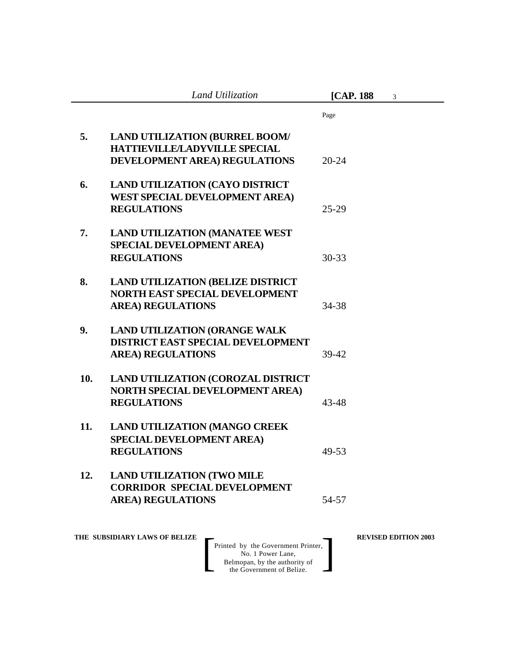|     | Land Utilization                                                                                               | [CAP. 188]<br>3 |  |
|-----|----------------------------------------------------------------------------------------------------------------|-----------------|--|
|     |                                                                                                                | Page            |  |
| 5.  | <b>LAND UTILIZATION (BURREL BOOM/</b><br><b>HATTIEVILLE/LADYVILLE SPECIAL</b><br>DEVELOPMENT AREA) REGULATIONS | $20 - 24$       |  |
| 6.  | <b>LAND UTILIZATION (CAYO DISTRICT</b><br><b>WEST SPECIAL DEVELOPMENT AREA)</b><br><b>REGULATIONS</b>          | $25 - 29$       |  |
| 7.  | <b>LAND UTILIZATION (MANATEE WEST)</b><br>SPECIAL DEVELOPMENT AREA)<br><b>REGULATIONS</b>                      | $30 - 33$       |  |
| 8.  | <b>LAND UTILIZATION (BELIZE DISTRICT</b><br><b>NORTH EAST SPECIAL DEVELOPMENT</b><br><b>AREA) REGULATIONS</b>  | 34-38           |  |
| 9.  | <b>LAND UTILIZATION (ORANGE WALK</b><br><b>DISTRICT EAST SPECIAL DEVELOPMENT</b><br><b>AREA) REGULATIONS</b>   | 39-42           |  |
| 10. | LAND UTILIZATION (COROZAL DISTRICT<br><b>NORTH SPECIAL DEVELOPMENT AREA)</b><br><b>REGULATIONS</b>             | $43 - 48$       |  |
| 11. | <b>LAND UTILIZATION (MANGO CREEK</b><br>SPECIAL DEVELOPMENT AREA)<br><b>REGULATIONS</b>                        | 49-53           |  |
| 12. | <b>LAND UTILIZATION (TWO MILE</b><br><b>CORRIDOR SPECIAL DEVELOPMENT</b><br><b>AREA) REGULATIONS</b>           | 54-57           |  |

**THE SUBSIDIARY LAWS OF BELIZE REVISED EDITION 2003**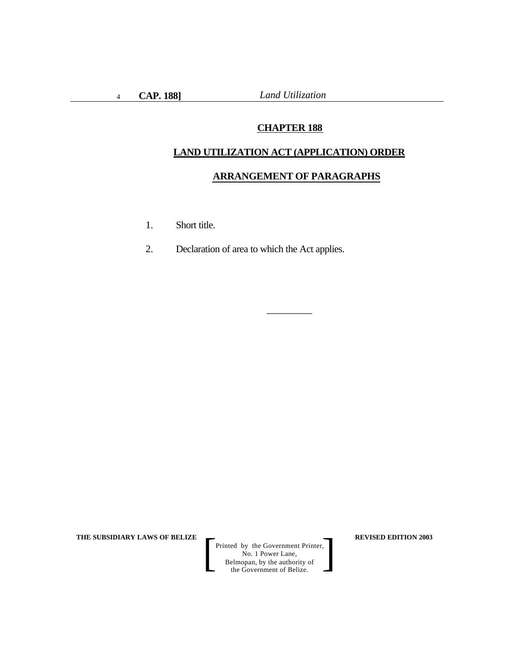# **CHAPTER 188**

# **LAND UTILIZATION ACT (APPLICATION) ORDER**

 $\overline{\phantom{a}}$  , where  $\overline{\phantom{a}}$ 

# **ARRANGEMENT OF PARAGRAPHS**

- 1. Short title.
- 2. Declaration of area to which the Act applies.

**THE SUBSIDIARY LAWS OF BELIZE REVISED EDITION 2003**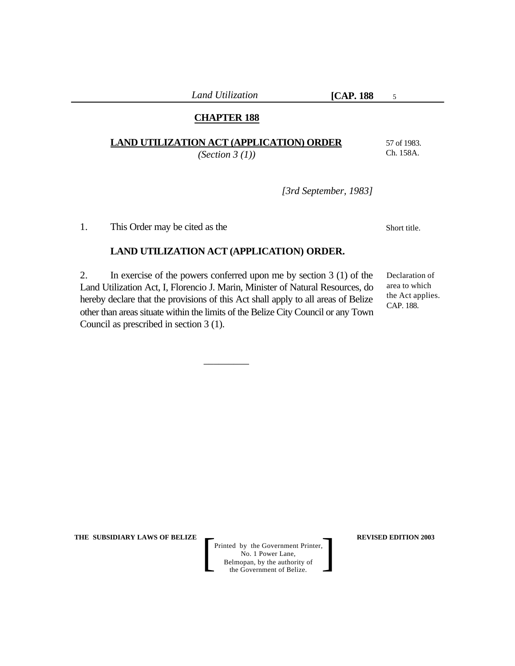# **CHAPTER 188**

|  |  | LAND UTILIZATION ACT (APPLICATION) ORDER |  |  |  |
|--|--|------------------------------------------|--|--|--|
|--|--|------------------------------------------|--|--|--|

*(Section 3 (1))*

57 of 1983. Ch. 158A.

Short title.

5

*[3rd September, 1983]*

1. This Order may be cited as the

#### **LAND UTILIZATION ACT (APPLICATION) ORDER.**

2. In exercise of the powers conferred upon me by section 3 (1) of the Land Utilization Act, I, Florencio J. Marin, Minister of Natural Resources, do hereby declare that the provisions of this Act shall apply to all areas of Belize other than areas situate within the limits of the Belize City Council or any Town Council as prescribed in section 3 (1).

 $\overline{\phantom{a}}$  , where  $\overline{\phantom{a}}$ 

Declaration of area to which the Act applies. CAP. 188.

**THE SUBSIDIARY LAWS OF BELIZE**  $\qquad$  **REVISED EDITION 2003**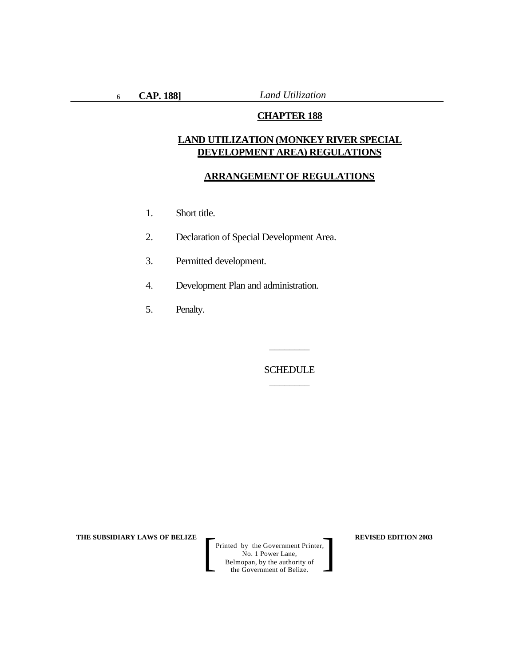## **CHAPTER 188**

# **LAND UTILIZATION (MONKEY RIVER SPECIAL DEVELOPMENT AREA) REGULATIONS**

#### **ARRANGEMENT OF REGULATIONS**

- 1. Short title.
- 2. Declaration of Special Development Area.
- 3. Permitted development.
- 4. Development Plan and administration.
- 5. Penalty.

**SCHEDULE** \_\_\_\_\_\_\_\_

\_\_\_\_\_\_\_\_

**THE SUBSIDIARY LAWS OF BELIZE**  $\qquad$  $\qquad$  **REVISED EDITION 2003**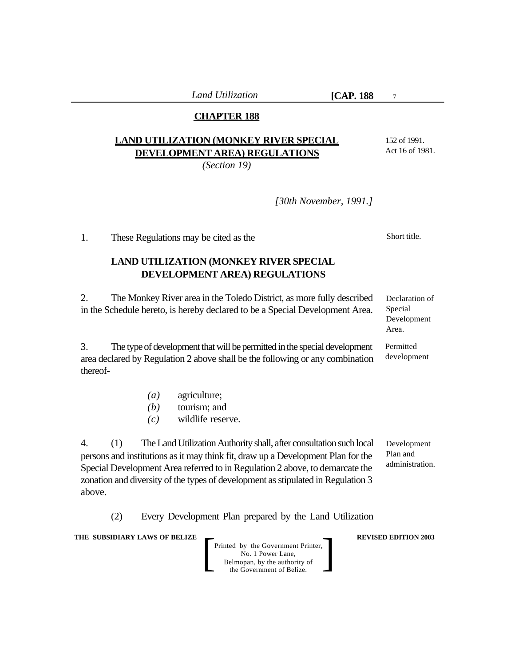# **CHAPTER 188**

# **LAND UTILIZATION (MONKEY RIVER SPECIAL DEVELOPMENT AREA) REGULATIONS**

*(Section 19)*

Act 16 of 1981.

152 of 1991.

7

*[30th November, 1991.]*

1. These Regulations may be cited as the

# **LAND UTILIZATION (MONKEY RIVER SPECIAL DEVELOPMENT AREA) REGULATIONS**

2. The Monkey River area in the Toledo District, as more fully described in the Schedule hereto, is hereby declared to be a Special Development Area.

3. The type of development that will be permitted in the special development area declared by Regulation 2 above shall be the following or any combination thereof-

- *(a)* agriculture;
- *(b)* tourism; and
- *(c)* wildlife reserve.

4. (1) The Land Utilization Authority shall, after consultation such local persons and institutions as it may think fit, draw up a Development Plan for the Special Development Area referred to in Regulation 2 above, to demarcate the zonation and diversity of the types of development as stipulated in Regulation 3 above.

(2) Every Development Plan prepared by the Land Utilization

**THE SUBSIDIARY LAWS OF BELIZE**  $\qquad$  **REVISED EDITION 2003** 

Printed by the Government Printer, No. 1 Power Lane, Belmopan, by the authority of Printed by the Government Printer,<br>
No. 1 Power Lane,<br>
Belmopan, by the authority of<br>
the Government of Belize.

Short title.

Declaration of Special Development Area.

Permitted development

Development

Plan and administration.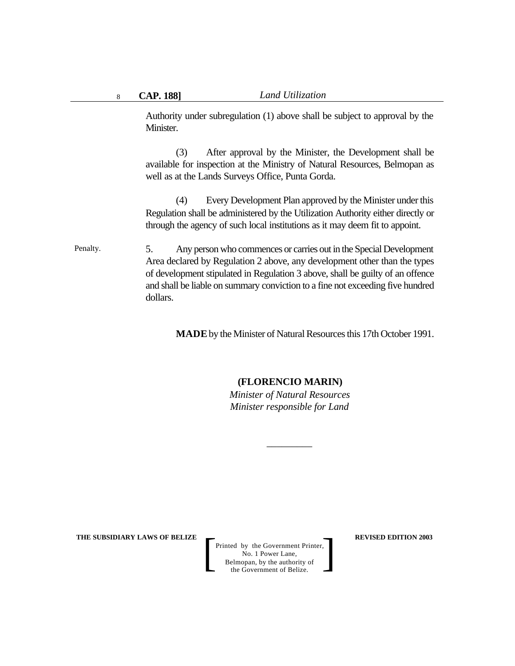Authority under subregulation (1) above shall be subject to approval by the Minister.

(3) After approval by the Minister, the Development shall be available for inspection at the Ministry of Natural Resources, Belmopan as well as at the Lands Surveys Office, Punta Gorda.

(4) Every Development Plan approved by the Minister under this Regulation shall be administered by the Utilization Authority either directly or through the agency of such local institutions as it may deem fit to appoint.

#### 5. Any person who commences or carries out in the Special Development Area declared by Regulation 2 above, any development other than the types of development stipulated in Regulation 3 above, shall be guilty of an offence and shall be liable on summary conviction to a fine not exceeding five hundred dollars. Penalty.

**MADE** by the Minister of Natural Resources this 17th October 1991.

#### **(FLORENCIO MARIN)**

*Minister of Natural Resources Minister responsible for Land*

*\_\_\_\_\_\_\_\_\_*

**THE SUBSIDIARY LAWS OF BELIZE**  $\qquad$  **REVISED EDITION 2003**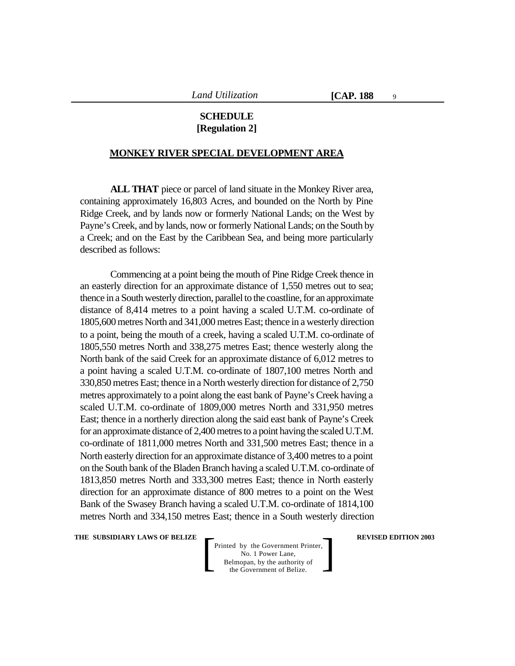9

# **SCHEDULE [Regulation 2]**

#### **MONKEY RIVER SPECIAL DEVELOPMENT AREA**

**ALL THAT** piece or parcel of land situate in the Monkey River area, containing approximately 16,803 Acres, and bounded on the North by Pine Ridge Creek, and by lands now or formerly National Lands; on the West by Payne's Creek, and by lands, now or formerly National Lands; on the South by a Creek; and on the East by the Caribbean Sea, and being more particularly described as follows:

Commencing at a point being the mouth of Pine Ridge Creek thence in an easterly direction for an approximate distance of 1,550 metres out to sea; thence in a South westerly direction, parallel to the coastline, for an approximate distance of 8,414 metres to a point having a scaled U.T.M. co-ordinate of 1805,600 metres North and 341,000 metres East; thence in a westerly direction to a point, being the mouth of a creek, having a scaled U.T.M. co-ordinate of 1805,550 metres North and 338,275 metres East; thence westerly along the North bank of the said Creek for an approximate distance of 6,012 metres to a point having a scaled U.T.M. co-ordinate of 1807,100 metres North and 330,850 metres East; thence in a North westerly direction for distance of 2,750 metres approximately to a point along the east bank of Payne's Creek having a scaled U.T.M. co-ordinate of 1809,000 metres North and 331,950 metres East; thence in a northerly direction along the said east bank of Payne's Creek for an approximate distance of 2,400 metres to a point having the scaled U.T.M. co-ordinate of 1811,000 metres North and 331,500 metres East; thence in a North easterly direction for an approximate distance of 3,400 metres to a point on the South bank of the Bladen Branch having a scaled U.T.M. co-ordinate of 1813,850 metres North and 333,300 metres East; thence in North easterly direction for an approximate distance of 800 metres to a point on the West Bank of the Swasey Branch having a scaled U.T.M. co-ordinate of 1814,100 metres North and 334,150 metres East; thence in a South westerly direction

**THE SUBSIDIARY LAWS OF BELIZE**  $\qquad$  **REVISED EDITION 2003**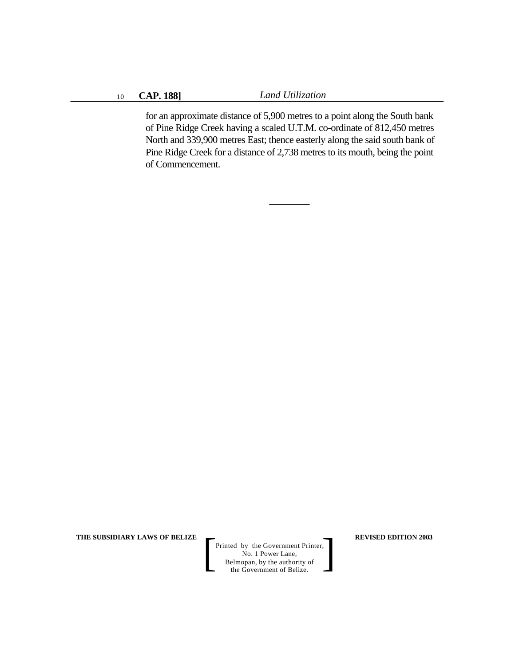for an approximate distance of 5,900 metres to a point along the South bank of Pine Ridge Creek having a scaled U.T.M. co-ordinate of 812,450 metres North and 339,900 metres East; thence easterly along the said south bank of Pine Ridge Creek for a distance of 2,738 metres to its mouth, being the point of Commencement.

\_\_\_\_\_\_\_\_

**THE SUBSIDIARY LAWS OF BELIZE REVISED EDITION 2003**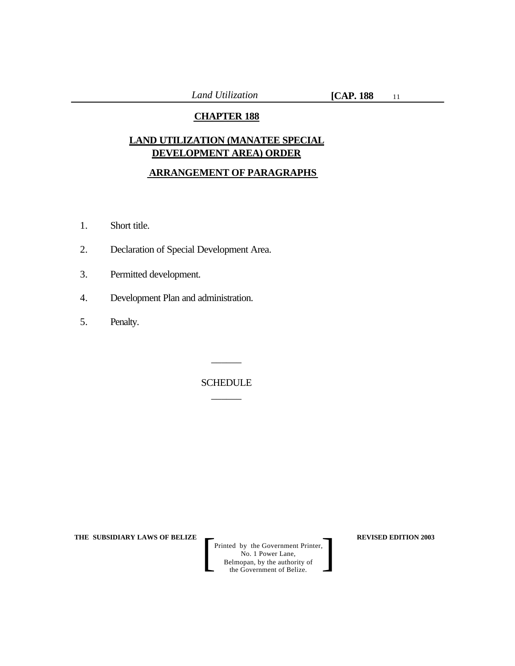# **CHAPTER 188**

# **LAND UTILIZATION (MANATEE SPECIAL DEVELOPMENT AREA) ORDER**

# **ARRANGEMENT OF PARAGRAPHS**

- 1. Short title.
- 2. Declaration of Special Development Area.
- 3. Permitted development.
- 4. Development Plan and administration.
- 5. Penalty.

SCHEDULE  $\overline{\phantom{a}}$ 

 $\overline{\phantom{a}}$ 

**THE SUBSIDIARY LAWS OF BELIZE REVISED EDITION 2003**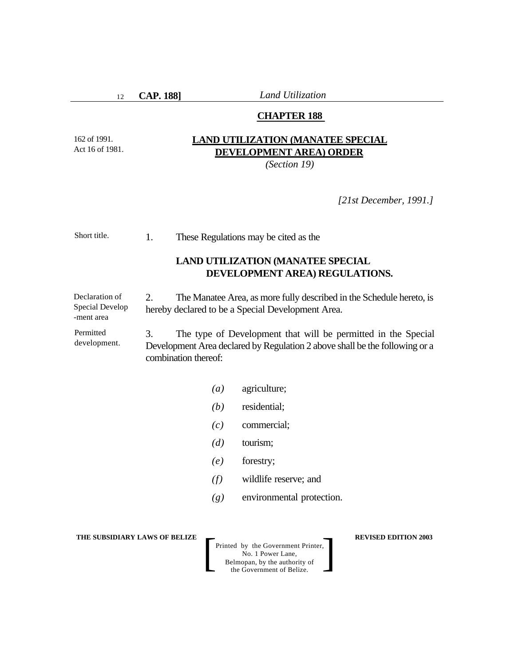12

**CAP. 188]** *Land Utilization*

# **CHAPTER 188**

162 of 1991. Act 16 of 1981.

# **LAND UTILIZATION (MANATEE SPECIAL DEVELOPMENT AREA) ORDER**

*(Section 19)*

*[21st December, 1991.]*

1. These Regulations may be cited as the Short title.

# **LAND UTILIZATION (MANATEE SPECIAL DEVELOPMENT AREA) REGULATIONS.**

2. The Manatee Area, as more fully described in the Schedule hereto, is hereby declared to be a Special Development Area. Declaration of Special Develop -ment area

3. The type of Development that will be permitted in the Special Development Area declared by Regulation 2 above shall be the following or a combination thereof: Permitted development.

- *(a)* agriculture;
- *(b)* residential;
- *(c)* commercial;
- *(d)* tourism;
- *(e)* forestry;
- *(f)* wildlife reserve; and
- *(g)* environmental protection.

**THE SUBSIDIARY LAWS OF BELIZE**  $\qquad$  **REVISED EDITION 2003**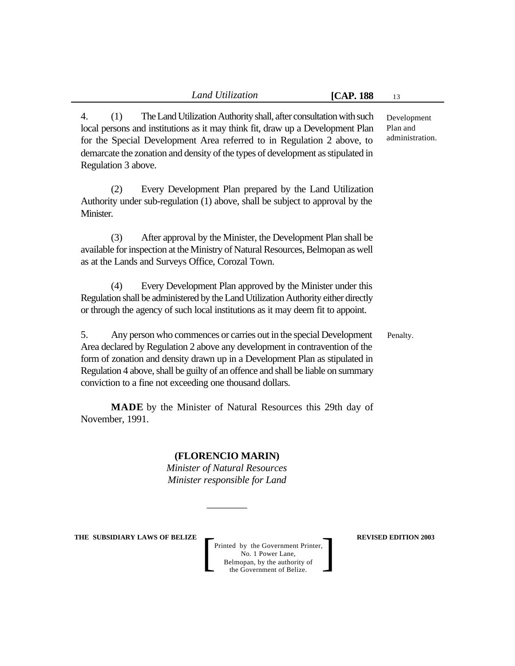4. (1) The Land Utilization Authority shall, after consultation with such local persons and institutions as it may think fit, draw up a Development Plan for the Special Development Area referred to in Regulation 2 above, to demarcate the zonation and density of the types of development as stipulated in Regulation 3 above.

(2) Every Development Plan prepared by the Land Utilization Authority under sub-regulation (1) above, shall be subject to approval by the Minister.

(3) After approval by the Minister, the Development Plan shall be available for inspection at the Ministry of Natural Resources, Belmopan as well as at the Lands and Surveys Office, Corozal Town.

(4) Every Development Plan approved by the Minister under this Regulation shall be administered by the Land Utilization Authority either directly or through the agency of such local institutions as it may deem fit to appoint.

5. Any person who commences or carries out in the special Development Area declared by Regulation 2 above any development in contravention of the form of zonation and density drawn up in a Development Plan as stipulated in Regulation 4 above, shall be guilty of an offence and shall be liable on summary conviction to a fine not exceeding one thousand dollars.

**MADE** by the Minister of Natural Resources this 29th day of November, 1991.

# **(FLORENCIO MARIN)**

*Minister of Natural Resources Minister responsible for Land*

*\_\_\_\_\_\_\_\_*

**THE SUBSIDIARY LAWS OF BELIZE**  $\qquad$  **REVISED EDITION 2003** 

Printed by the Government Printer, No. 1 Power Lane, Belmopan, by the authority of Printed by the Government Printer,<br>
No. 1 Power Lane,<br>
Belmopan, by the authority of<br>
the Government of Belize.

Development Plan and administration.

Penalty.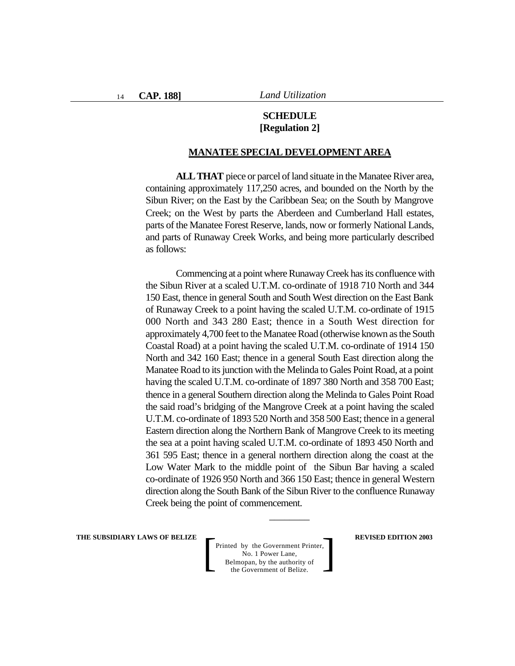# **SCHEDULE [Regulation 2]**

#### **MANATEE SPECIAL DEVELOPMENT AREA**

**ALL THAT** piece or parcel of land situate in the Manatee River area, containing approximately 117,250 acres, and bounded on the North by the Sibun River; on the East by the Caribbean Sea; on the South by Mangrove Creek; on the West by parts the Aberdeen and Cumberland Hall estates, parts of the Manatee Forest Reserve, lands, now or formerly National Lands, and parts of Runaway Creek Works, and being more particularly described as follows:

Commencing at a point where Runaway Creek has its confluence with the Sibun River at a scaled U.T.M. co-ordinate of 1918 710 North and 344 150 East, thence in general South and South West direction on the East Bank of Runaway Creek to a point having the scaled U.T.M. co-ordinate of 1915 000 North and 343 280 East; thence in a South West direction for approximately 4,700 feet to the Manatee Road (otherwise known as the South Coastal Road) at a point having the scaled U.T.M. co-ordinate of 1914 150 North and 342 160 East; thence in a general South East direction along the Manatee Road to its junction with the Melinda to Gales Point Road, at a point having the scaled U.T.M. co-ordinate of 1897 380 North and 358 700 East; thence in a general Southern direction along the Melinda to Gales Point Road the said road's bridging of the Mangrove Creek at a point having the scaled U.T.M. co-ordinate of 1893 520 North and 358 500 East; thence in a general Eastern direction along the Northern Bank of Mangrove Creek to its meeting the sea at a point having scaled U.T.M. co-ordinate of 1893 450 North and 361 595 East; thence in a general northern direction along the coast at the Low Water Mark to the middle point of the Sibun Bar having a scaled co-ordinate of 1926 950 North and 366 150 East; thence in general Western direction along the South Bank of the Sibun River to the confluence Runaway Creek being the point of commencement.

\_\_\_\_\_\_\_\_

**THE SUBSIDIARY LAWS OF BELIZE**  $\qquad$  **REVISED EDITION 2003**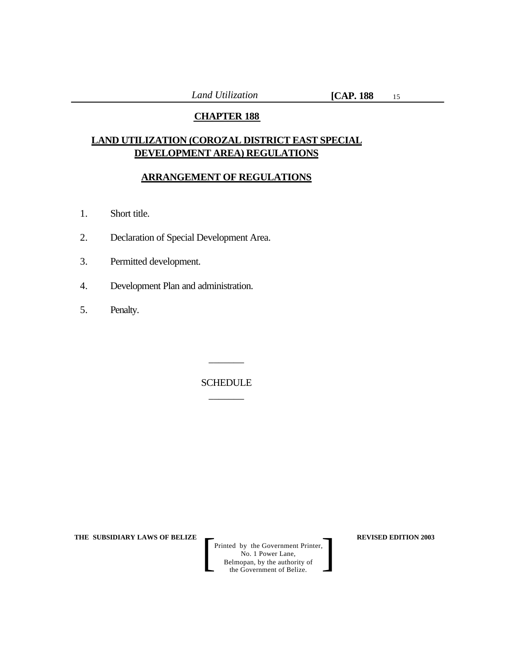# **CHAPTER 188**

# **LAND UTILIZATION (COROZAL DISTRICT EAST SPECIAL DEVELOPMENT AREA) REGULATIONS**

# **ARRANGEMENT OF REGULATIONS**

- 1. Short title.
- 2. Declaration of Special Development Area.
- 3. Permitted development.
- 4. Development Plan and administration.
- 5. Penalty.

SCHEDULE  $\overline{\phantom{a}}$ 

 $\overline{\phantom{a}}$ 

**THE SUBSIDIARY LAWS OF BELIZE**  $\qquad$  **REVISED EDITION 2003**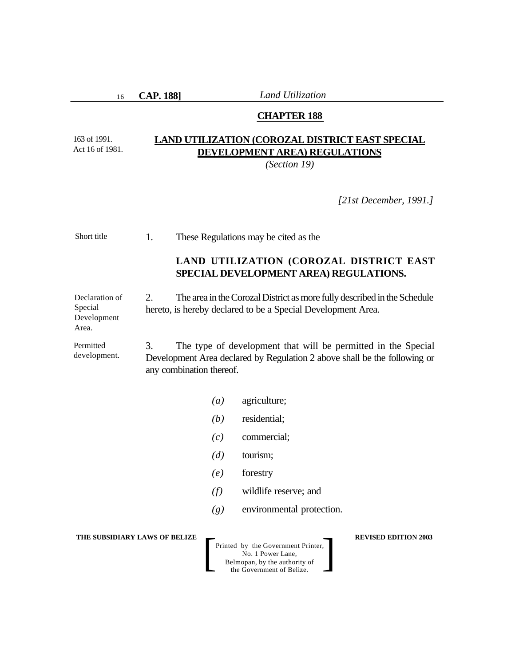16

163 of 1991. Act 16 of 1981. **CAP. 188]** *Land Utilization*

# **CHAPTER 188**

# **LAND UTILIZATION (COROZAL DISTRICT EAST SPECIAL DEVELOPMENT AREA) REGULATIONS**

*(Section 19)*

*[21st December, 1991.]*

| Short title                                       | 1. | These Regulations may be cited as the                                                                                                    |                  |                                                                                                                                            |                             |
|---------------------------------------------------|----|------------------------------------------------------------------------------------------------------------------------------------------|------------------|--------------------------------------------------------------------------------------------------------------------------------------------|-----------------------------|
|                                                   |    |                                                                                                                                          |                  | LAND UTILIZATION (COROZAL DISTRICT EAST<br>SPECIAL DEVELOPMENT AREA) REGULATIONS.                                                          |                             |
| Declaration of<br>Special<br>Development<br>Area. | 2. | The area in the Corozal District as more fully described in the Schedule<br>hereto, is hereby declared to be a Special Development Area. |                  |                                                                                                                                            |                             |
| Permitted<br>development.                         | 3. | any combination thereof.                                                                                                                 |                  | The type of development that will be permitted in the Special<br>Development Area declared by Regulation 2 above shall be the following or |                             |
|                                                   |    |                                                                                                                                          | $\left(a\right)$ | agriculture;                                                                                                                               |                             |
|                                                   |    |                                                                                                                                          | (b)              | residential;                                                                                                                               |                             |
|                                                   |    |                                                                                                                                          | (c)              | commercial;                                                                                                                                |                             |
|                                                   |    |                                                                                                                                          | (d)              | tourism;                                                                                                                                   |                             |
|                                                   |    |                                                                                                                                          | (e)              | forestry                                                                                                                                   |                             |
|                                                   |    |                                                                                                                                          | (f)              | wildlife reserve; and                                                                                                                      |                             |
|                                                   |    |                                                                                                                                          | (g)              | environmental protection.                                                                                                                  |                             |
| THE SUBSIDIARY LAWS OF BELIZE                     |    |                                                                                                                                          |                  | Printed by the Government Printer,<br>No. 1 Power Lane,<br>Belmopan, by the authority of<br>the Government of Belize.                      | <b>REVISED EDITION 2003</b> |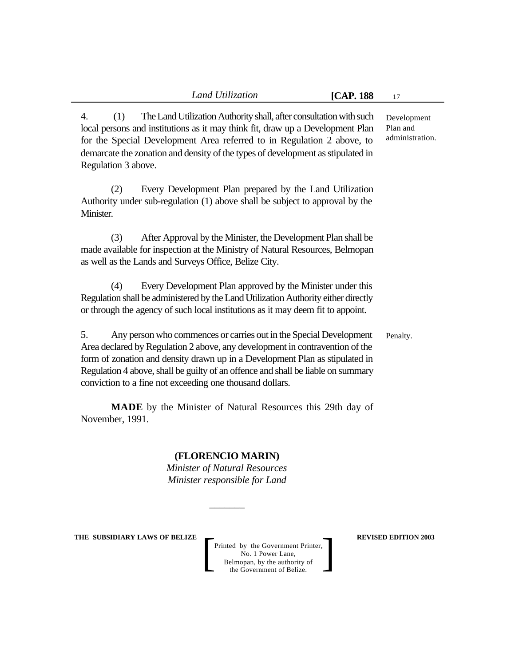4. (1) The Land Utilization Authority shall, after consultation with such local persons and institutions as it may think fit, draw up a Development Plan for the Special Development Area referred to in Regulation 2 above, to demarcate the zonation and density of the types of development as stipulated in Regulation 3 above.

(2) Every Development Plan prepared by the Land Utilization Authority under sub-regulation (1) above shall be subject to approval by the Minister.

(3) After Approval by the Minister, the Development Plan shall be made available for inspection at the Ministry of Natural Resources, Belmopan as well as the Lands and Surveys Office, Belize City.

(4) Every Development Plan approved by the Minister under this Regulation shall be administered by the Land Utilization Authority either directly or through the agency of such local institutions as it may deem fit to appoint.

5. Any person who commences or carries out in the Special Development Area declared by Regulation 2 above, any development in contravention of the form of zonation and density drawn up in a Development Plan as stipulated in Regulation 4 above, shall be guilty of an offence and shall be liable on summary conviction to a fine not exceeding one thousand dollars. Penalty.

**MADE** by the Minister of Natural Resources this 29th day of November, 1991.

# **(FLORENCIO MARIN)**

*Minister of Natural Resources Minister responsible for Land*

*\_\_\_\_\_\_\_*

**THE SUBSIDIARY LAWS OF BELIZE**  $\qquad$  **REVISED EDITION 2003** 

Printed by the Government Printer, No. 1 Power Lane, Belmopan, by the authority of Printed by the Government Printer,<br>
No. 1 Power Lane,<br>
Belmopan, by the authority of<br>
the Government of Belize.

Development Plan and administration.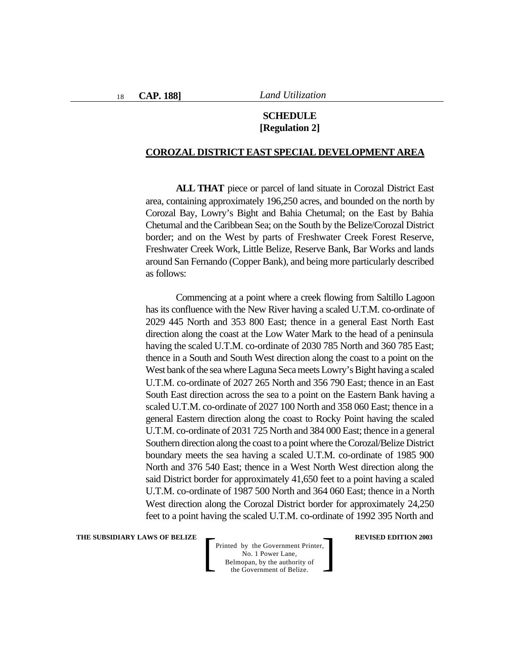# **SCHEDULE [Regulation 2]**

#### **COROZAL DISTRICT EAST SPECIAL DEVELOPMENT AREA**

**ALL THAT** piece or parcel of land situate in Corozal District East area, containing approximately 196,250 acres, and bounded on the north by Corozal Bay, Lowry's Bight and Bahia Chetumal; on the East by Bahia Chetumal and the Caribbean Sea; on the South by the Belize/Corozal District border; and on the West by parts of Freshwater Creek Forest Reserve, Freshwater Creek Work, Little Belize, Reserve Bank, Bar Works and lands around San Fernando (Copper Bank), and being more particularly described as follows:

Commencing at a point where a creek flowing from Saltillo Lagoon has its confluence with the New River having a scaled U.T.M. co-ordinate of 2029 445 North and 353 800 East; thence in a general East North East direction along the coast at the Low Water Mark to the head of a peninsula having the scaled U.T.M. co-ordinate of 2030 785 North and 360 785 East; thence in a South and South West direction along the coast to a point on the West bank of the sea where Laguna Seca meets Lowry's Bight having a scaled U.T.M. co-ordinate of 2027 265 North and 356 790 East; thence in an East South East direction across the sea to a point on the Eastern Bank having a scaled U.T.M. co-ordinate of 2027 100 North and 358 060 East; thence in a general Eastern direction along the coast to Rocky Point having the scaled U.T.M. co-ordinate of 2031 725 North and 384 000 East; thence in a general Southern direction along the coast to a point where the Corozal/Belize District boundary meets the sea having a scaled U.T.M. co-ordinate of 1985 900 North and 376 540 East; thence in a West North West direction along the said District border for approximately 41,650 feet to a point having a scaled U.T.M. co-ordinate of 1987 500 North and 364 060 East; thence in a North West direction along the Corozal District border for approximately 24,250 feet to a point having the scaled U.T.M. co-ordinate of 1992 395 North and

**THE SUBSIDIARY LAWS OF BELIZE**  $\qquad$  **REVISED EDITION 2003**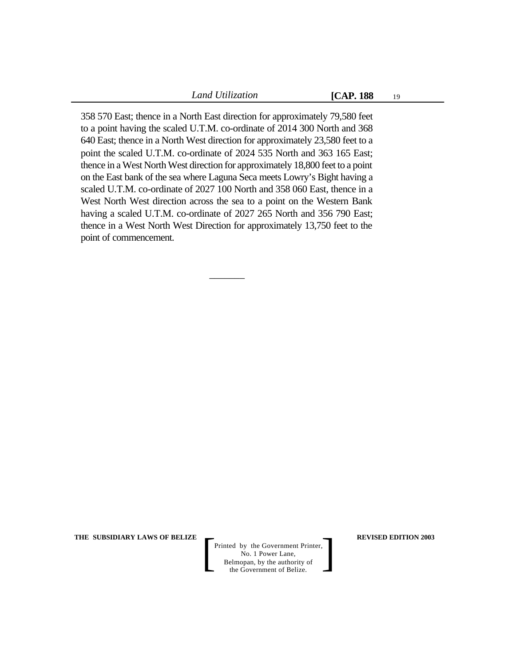19

358 570 East; thence in a North East direction for approximately 79,580 feet to a point having the scaled U.T.M. co-ordinate of 2014 300 North and 368 640 East; thence in a North West direction for approximately 23,580 feet to a point the scaled U.T.M. co-ordinate of 2024 535 North and 363 165 East; thence in a West North West direction for approximately 18,800 feet to a point on the East bank of the sea where Laguna Seca meets Lowry's Bight having a scaled U.T.M. co-ordinate of 2027 100 North and 358 060 East, thence in a West North West direction across the sea to a point on the Western Bank having a scaled U.T.M. co-ordinate of 2027 265 North and 356 790 East; thence in a West North West Direction for approximately 13,750 feet to the point of commencement.

 $\overline{\phantom{a}}$ 

**THE SUBSIDIARY LAWS OF BELIZE**  $\qquad$  **REVISED EDITION 2003**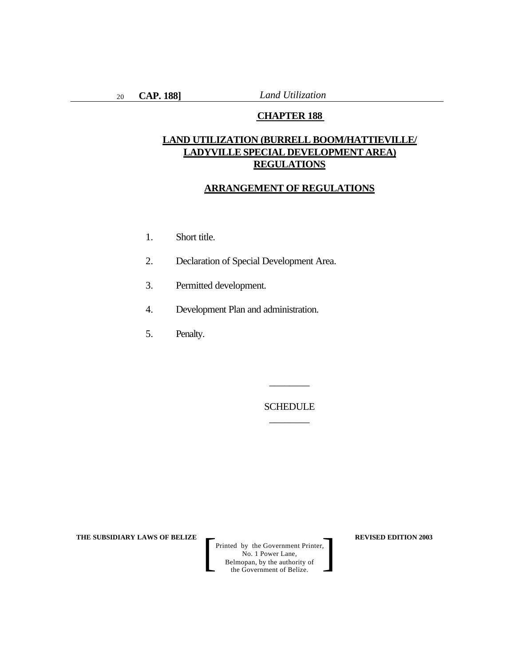## **CHAPTER 188**

# **LAND UTILIZATION (BURRELL BOOM/HATTIEVILLE/ LADYVILLE SPECIAL DEVELOPMENT AREA) REGULATIONS**

#### **ARRANGEMENT OF REGULATIONS**

- 1. Short title.
- 2. Declaration of Special Development Area.
- 3. Permitted development.
- 4. Development Plan and administration.
- 5. Penalty.

SCHEDULE \_\_\_\_\_\_\_\_

\_\_\_\_\_\_\_\_

**THE SUBSIDIARY LAWS OF BELIZE**  $\qquad$  $\qquad$  **REVISED EDITION 2003**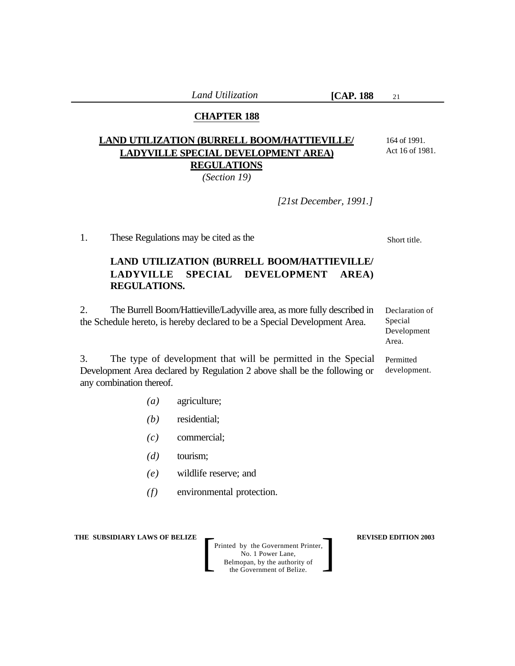21

# **CHAPTER 188**

# **LAND UTILIZATION (BURRELL BOOM/HATTIEVILLE/ LADYVILLE SPECIAL DEVELOPMENT AREA) REGULATIONS**

*(Section 19)*

164 of 1991. Act 16 of 1981.

*[21st December, 1991.]*

1. These Regulations may be cited as the

# **LAND UTILIZATION (BURRELL BOOM/HATTIEVILLE/ LADYVILLE SPECIAL DEVELOPMENT AREA) REGULATIONS.**

2. The Burrell Boom/Hattieville/Ladyville area, as more fully described in the Schedule hereto, is hereby declared to be a Special Development Area.

3. The type of development that will be permitted in the Special Development Area declared by Regulation 2 above shall be the following or any combination thereof.

- *(a)* agriculture;
- *(b)* residential;
- *(c)* commercial;
- *(d)* tourism;
- *(e)* wildlife reserve; and
- *(f)* environmental protection.

**THE SUBSIDIARY LAWS OF BELIZE**  $\qquad$  **REVISED EDITION 2003** 

Printed by the Government Printer, No. 1 Power Lane, Belmopan, by the authority of Printed by the Government Printer,<br>
No. 1 Power Lane,<br>
Belmopan, by the authority of<br>
the Government of Belize.

Short title.

Declaration of Special Development Area.

Permitted development.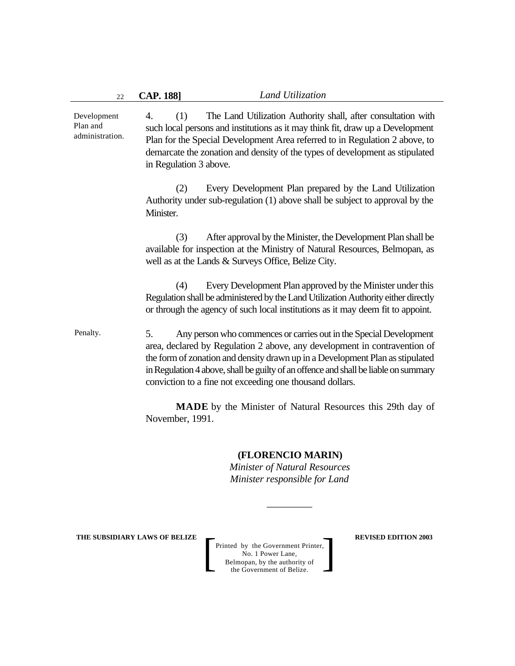4. (1) The Land Utilization Authority shall, after consultation with such local persons and institutions as it may think fit, draw up a Development Plan for the Special Development Area referred to in Regulation 2 above, to demarcate the zonation and density of the types of development as stipulated in Regulation 3 above. (2) Every Development Plan prepared by the Land Utilization Authority under sub-regulation (1) above shall be subject to approval by the Minister. (3) After approval by the Minister, the Development Plan shall be available for inspection at the Ministry of Natural Resources, Belmopan, as well as at the Lands & Surveys Office, Belize City. (4) Every Development Plan approved by the Minister under this Regulation shall be administered by the Land Utilization Authority either directly or through the agency of such local institutions as it may deem fit to appoint. 5. Any person who commences or carries out in the Special Development area, declared by Regulation 2 above, any development in contravention of the form of zonation and density drawn up in a Development Plan as stipulated in Regulation 4 above, shall be guilty of an offence and shall be liable on summary conviction to a fine not exceeding one thousand dollars. **MADE** by the Minister of Natural Resources this 29th day of November, 1991. Development Plan and administration. Penalty.

# **(FLORENCIO MARIN)**

*Minister of Natural Resources Minister responsible for Land*

*\_\_\_\_\_\_\_\_\_*

**THE SUBSIDIARY LAWS OF BELIZE**  $\qquad$  **REVISED EDITION 2003**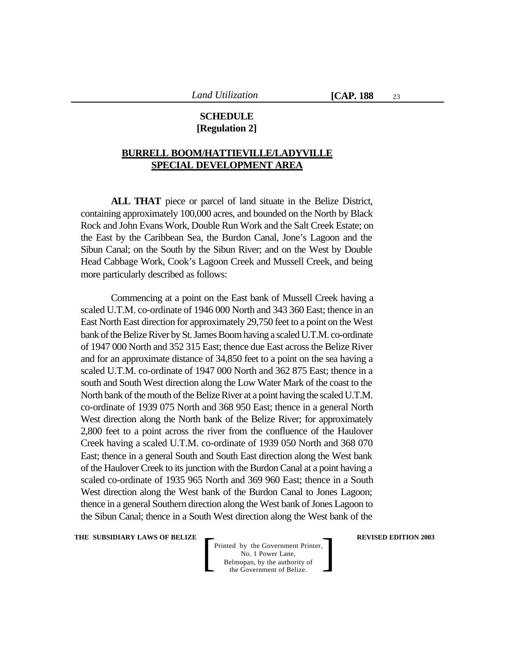# **SCHEDULE [Regulation 2]**

# **BURRELL BOOM/HATTIEVILLE/LADYVILLE SPECIAL DEVELOPMENT AREA**

**ALL THAT** piece or parcel of land situate in the Belize District, containing approximately 100,000 acres, and bounded on the North by Black Rock and John Evans Work, Double Run Work and the Salt Creek Estate; on the East by the Caribbean Sea, the Burdon Canal, Jone's Lagoon and the Sibun Canal; on the South by the Sibun River; and on the West by Double Head Cabbage Work, Cook's Lagoon Creek and Mussell Creek, and being more particularly described as follows:

Commencing at a point on the East bank of Mussell Creek having a scaled U.T.M. co-ordinate of 1946 000 North and 343 360 East; thence in an East North East direction for approximately 29,750 feet to a point on the West bank of the Belize River by St. James Boom having a scaled U.T.M. co-ordinate of 1947 000 North and 352 315 East; thence due East across the Belize River and for an approximate distance of 34,850 feet to a point on the sea having a scaled U.T.M. co-ordinate of 1947 000 North and 362 875 East; thence in a south and South West direction along the Low Water Mark of the coast to the North bank of the mouth of the Belize River at a point having the scaled U.T.M. co-ordinate of 1939 075 North and 368 950 East; thence in a general North West direction along the North bank of the Belize River; for approximately 2,800 feet to a point across the river from the confluence of the Haulover Creek having a scaled U.T.M. co-ordinate of 1939 050 North and 368 070 East; thence in a general South and South East direction along the West bank of the Haulover Creek to its junction with the Burdon Canal at a point having a scaled co-ordinate of 1935 965 North and 369 960 East; thence in a South West direction along the West bank of the Burdon Canal to Jones Lagoon; thence in a general Southern direction along the West bank of Jones Lagoon to the Sibun Canal; thence in a South West direction along the West bank of the

**THE SUBSIDIARY LAWS OF BELIZE**  $\qquad$  **<b>REVISED EDITION 2003**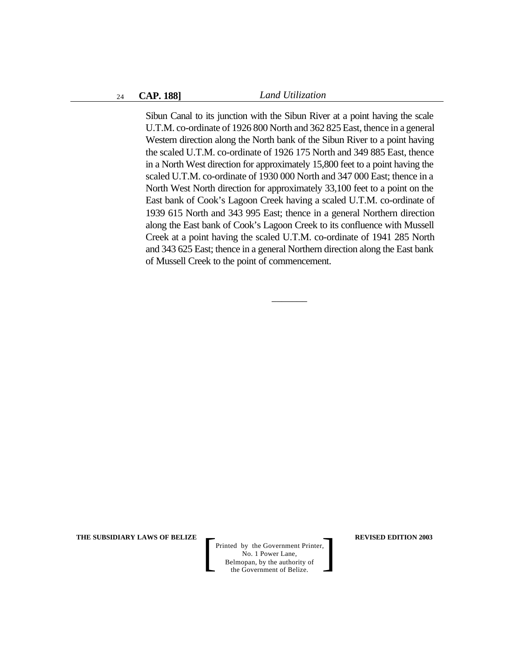Sibun Canal to its junction with the Sibun River at a point having the scale U.T.M. co-ordinate of 1926 800 North and 362 825 East, thence in a general Western direction along the North bank of the Sibun River to a point having the scaled U.T.M. co-ordinate of 1926 175 North and 349 885 East, thence in a North West direction for approximately 15,800 feet to a point having the scaled U.T.M. co-ordinate of 1930 000 North and 347 000 East; thence in a North West North direction for approximately 33,100 feet to a point on the East bank of Cook's Lagoon Creek having a scaled U.T.M. co-ordinate of 1939 615 North and 343 995 East; thence in a general Northern direction along the East bank of Cook's Lagoon Creek to its confluence with Mussell Creek at a point having the scaled U.T.M. co-ordinate of 1941 285 North and 343 625 East; thence in a general Northern direction along the East bank of Mussell Creek to the point of commencement.

 $\overline{\phantom{a}}$ 

**THE SUBSIDIARY LAWS OF BELIZE**  $\qquad$  **REVISED EDITION 2003**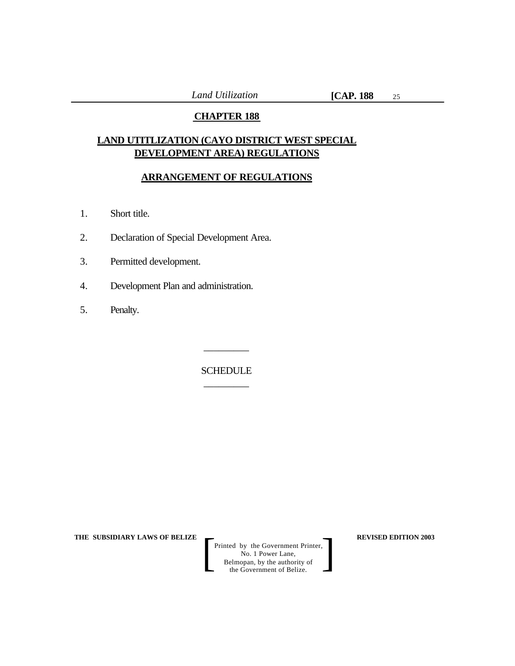# **CHAPTER 188**

# **LAND UTITLIZATION (CAYO DISTRICT WEST SPECIAL DEVELOPMENT AREA) REGULATIONS**

# **ARRANGEMENT OF REGULATIONS**

- 1. Short title.
- 2. Declaration of Special Development Area.
- 3. Permitted development.
- 4. Development Plan and administration.
- 5. Penalty.

SCHEDULE  $\overline{\phantom{a}}$  , where  $\overline{\phantom{a}}$ 

 $\overline{\phantom{a}}$  , where  $\overline{\phantom{a}}$ 

**THE SUBSIDIARY LAWS OF BELIZE**  $\qquad$  **REVISED EDITION 2003**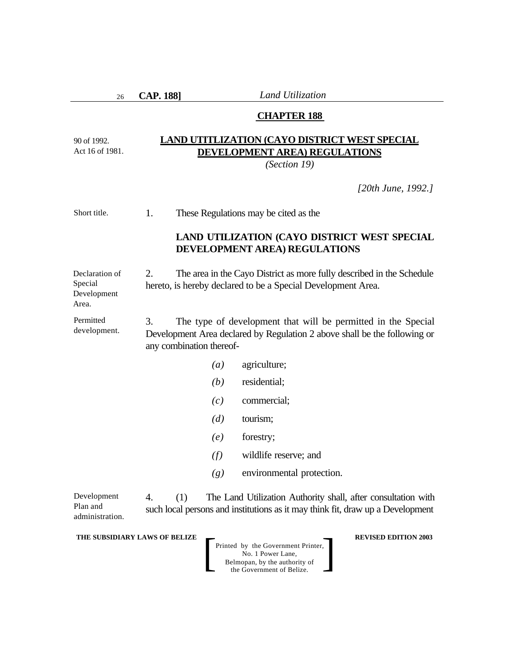26

90 of 1992. Act 16 of 1981.

Area.

**CAP. 188]** *Land Utilization*

#### **CHAPTER 188**

# **LAND UTITLIZATION (CAYO DISTRICT WEST SPECIAL DEVELOPMENT AREA) REGULATIONS**

*(Section 19)*

*[20th June, 1992.]*

1. These Regulations may be cited as the Short title.

# **LAND UTILIZATION (CAYO DISTRICT WEST SPECIAL DEVELOPMENT AREA) REGULATIONS**

2. The area in the Cayo District as more fully described in the Schedule hereto, is hereby declared to be a Special Development Area. Declaration of Special Development

3. The type of development that will be permitted in the Special Development Area declared by Regulation 2 above shall be the following or any combination thereof- Permitted development.

- *(a)* agriculture;
- *(b)* residential;
- *(c)* commercial;
- *(d)* tourism;
- *(e)* forestry;
- *(f)* wildlife reserve; and
- *(g)* environmental protection.

4. (1) The Land Utilization Authority shall, after consultation with such local persons and institutions as it may think fit, draw up a Development Development Plan and administration.

**THE SUBSIDIARY LAWS OF BELIZE**  $\qquad$  **REVISED EDITION 2003**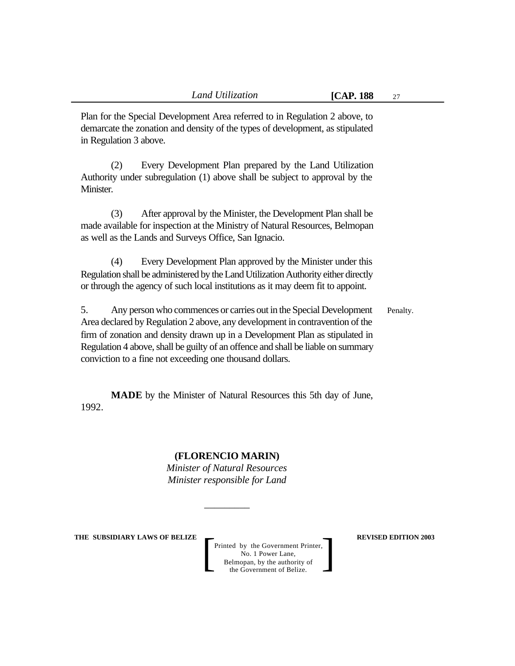Plan for the Special Development Area referred to in Regulation 2 above, to demarcate the zonation and density of the types of development, as stipulated in Regulation 3 above.

(2) Every Development Plan prepared by the Land Utilization Authority under subregulation (1) above shall be subject to approval by the Minister.

(3) After approval by the Minister, the Development Plan shall be made available for inspection at the Ministry of Natural Resources, Belmopan as well as the Lands and Surveys Office, San Ignacio.

(4) Every Development Plan approved by the Minister under this Regulation shall be administered by the Land Utilization Authority either directly or through the agency of such local institutions as it may deem fit to appoint.

5. Any person who commences or carries out in the Special Development Area declared by Regulation 2 above, any development in contravention of the firm of zonation and density drawn up in a Development Plan as stipulated in Regulation 4 above, shall be guilty of an offence and shall be liable on summary conviction to a fine not exceeding one thousand dollars. Penalty.

**MADE** by the Minister of Natural Resources this 5th day of June, 1992.

# **(FLORENCIO MARIN)**

*Minister of Natural Resources Minister responsible for Land*

*\_\_\_\_\_\_\_\_\_*

**THE SUBSIDIARY LAWS OF BELIZE**  $\qquad$  **REVISED EDITION 2003**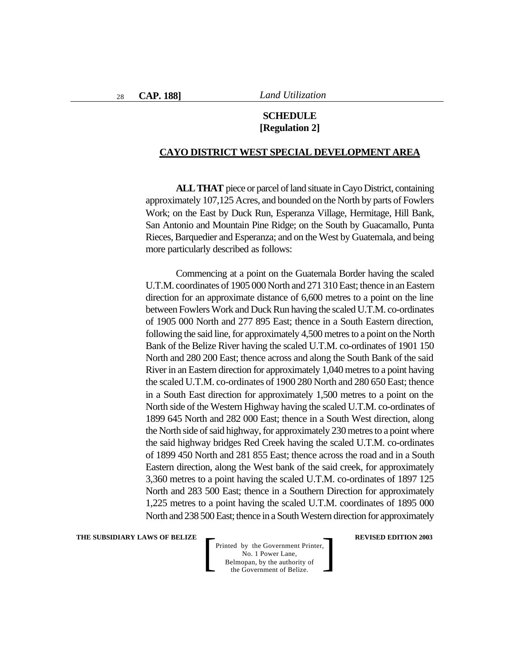# **SCHEDULE [Regulation 2]**

#### **CAYO DISTRICT WEST SPECIAL DEVELOPMENT AREA**

**ALL THAT** piece or parcel of land situate in Cayo District, containing approximately 107,125 Acres, and bounded on the North by parts of Fowlers Work; on the East by Duck Run, Esperanza Village, Hermitage, Hill Bank, San Antonio and Mountain Pine Ridge; on the South by Guacamallo, Punta Rieces, Barquedier and Esperanza; and on the West by Guatemala, and being more particularly described as follows:

Commencing at a point on the Guatemala Border having the scaled U.T.M. coordinates of 1905 000 North and 271 310 East; thence in an Eastern direction for an approximate distance of 6,600 metres to a point on the line between Fowlers Work and Duck Run having the scaled U.T.M. co-ordinates of 1905 000 North and 277 895 East; thence in a South Eastern direction, following the said line, for approximately 4,500 metres to a point on the North Bank of the Belize River having the scaled U.T.M. co-ordinates of 1901 150 North and 280 200 East; thence across and along the South Bank of the said River in an Eastern direction for approximately 1,040 metres to a point having the scaled U.T.M. co-ordinates of 1900 280 North and 280 650 East; thence in a South East direction for approximately 1,500 metres to a point on the North side of the Western Highway having the scaled U.T.M. co-ordinates of 1899 645 North and 282 000 East; thence in a South West direction, along the North side of said highway, for approximately 230 metres to a point where the said highway bridges Red Creek having the scaled U.T.M. co-ordinates of 1899 450 North and 281 855 East; thence across the road and in a South Eastern direction, along the West bank of the said creek, for approximately 3,360 metres to a point having the scaled U.T.M. co-ordinates of 1897 125 North and 283 500 East; thence in a Southern Direction for approximately 1,225 metres to a point having the scaled U.T.M. coordinates of 1895 000 North and 238 500 East; thence in a South Western direction for approximately

**THE SUBSIDIARY LAWS OF BELIZE**  $\qquad$  **REVISED EDITION 2003**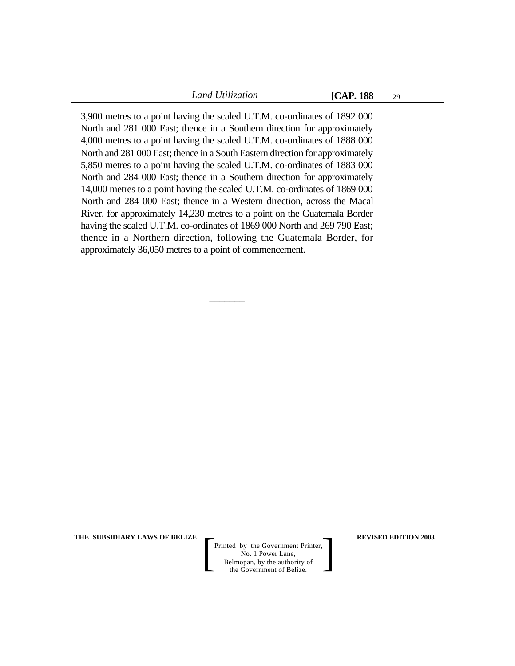29

3,900 metres to a point having the scaled U.T.M. co-ordinates of 1892 000 North and 281 000 East; thence in a Southern direction for approximately 4,000 metres to a point having the scaled U.T.M. co-ordinates of 1888 000 North and 281 000 East; thence in a South Eastern direction for approximately 5,850 metres to a point having the scaled U.T.M. co-ordinates of 1883 000 North and 284 000 East; thence in a Southern direction for approximately 14,000 metres to a point having the scaled U.T.M. co-ordinates of 1869 000 North and 284 000 East; thence in a Western direction, across the Macal River, for approximately 14,230 metres to a point on the Guatemala Border having the scaled U.T.M. co-ordinates of 1869 000 North and 269 790 East; thence in a Northern direction, following the Guatemala Border, for approximately 36,050 metres to a point of commencement.

 $\overline{\phantom{a}}$ 

**THE SUBSIDIARY LAWS OF BELIZE**  $\qquad$  **REVISED EDITION 2003**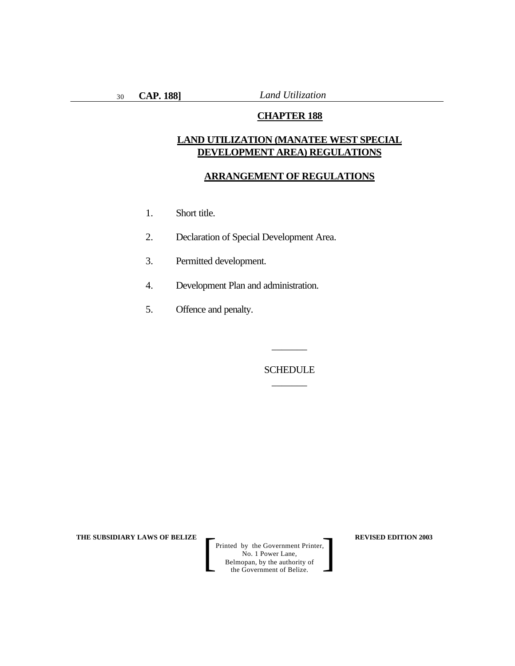### **CHAPTER 188**

# **LAND UTILIZATION (MANATEE WEST SPECIAL DEVELOPMENT AREA) REGULATIONS**

#### **ARRANGEMENT OF REGULATIONS**

- 1. Short title.
- 2. Declaration of Special Development Area.
- 3. Permitted development.
- 4. Development Plan and administration.
- 5. Offence and penalty.

**SCHEDULE**  $\overline{\phantom{a}}$ 

 $\overline{\phantom{a}}$ 

**THE SUBSIDIARY LAWS OF BELIZE**  $\qquad$  $\qquad$  **REVISED EDITION 2003**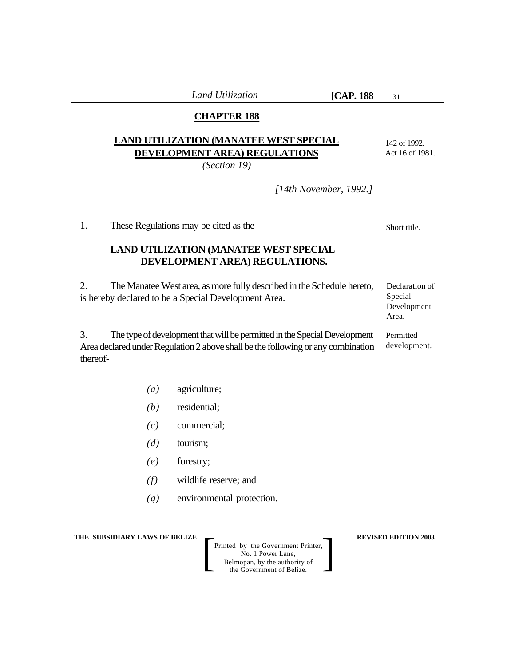31

# **CHAPTER 188**

# **LAND UTILIZATION (MANATEE WEST SPECIAL DEVELOPMENT AREA) REGULATIONS**

*(Section 19)*

142 of 1992. Act 16 of 1981.

*[14th November, 1992.]*

1. These Regulations may be cited as the

# **LAND UTILIZATION (MANATEE WEST SPECIAL DEVELOPMENT AREA) REGULATIONS.**

2. The Manatee West area, as more fully described in the Schedule hereto, is hereby declared to be a Special Development Area. Declaration of Special Development

3. The type of development that will be permitted in the Special Development Area declared under Regulation 2 above shall be the following or any combination thereof- Permitted development.

- *(a)* agriculture;
- *(b)* residential;
- *(c)* commercial;
- *(d)* tourism;
- *(e)* forestry;
- *(f)* wildlife reserve; and
- *(g)* environmental protection.

**THE SUBSIDIARY LAWS OF BELIZE**  $\qquad$  **REVISED EDITION 2003** 

Printed by the Government Printer, No. 1 Power Lane, Belmopan, by the authority of Printed by the Government Printer,<br>
No. 1 Power Lane,<br>
Belmopan, by the authority of<br>
the Government of Belize.

Short title.

Area.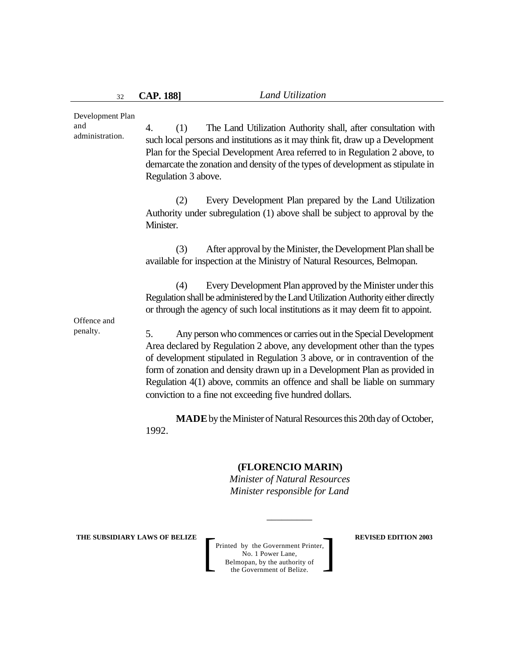4. (1) The Land Utilization Authority shall, after consultation with such local persons and institutions as it may think fit, draw up a Development Plan for the Special Development Area referred to in Regulation 2 above, to demarcate the zonation and density of the types of development as stipulate in Regulation 3 above. (2) Every Development Plan prepared by the Land Utilization Authority under subregulation (1) above shall be subject to approval by the Minister. (3) After approval by the Minister, the Development Plan shall be available for inspection at the Ministry of Natural Resources, Belmopan. (4) Every Development Plan approved by the Minister under this Regulation shall be administered by the Land Utilization Authority either directly or through the agency of such local institutions as it may deem fit to appoint. 5. Any person who commences or carries out in the Special Development Area declared by Regulation 2 above, any development other than the types of development stipulated in Regulation 3 above, or in contravention of the form of zonation and density drawn up in a Development Plan as provided in Regulation 4(1) above, commits an offence and shall be liable on summary conviction to a fine not exceeding five hundred dollars. **MADE** by the Minister of Natural Resources this 20th day of October, 1992. Development Plan and administration. Offence and penalty.

# **(FLORENCIO MARIN)**

*Minister of Natural Resources Minister responsible for Land*

*\_\_\_\_\_\_\_\_\_*

**THE SUBSIDIARY LAWS OF BELIZE**  $\qquad$  **REVISED EDITION 2003**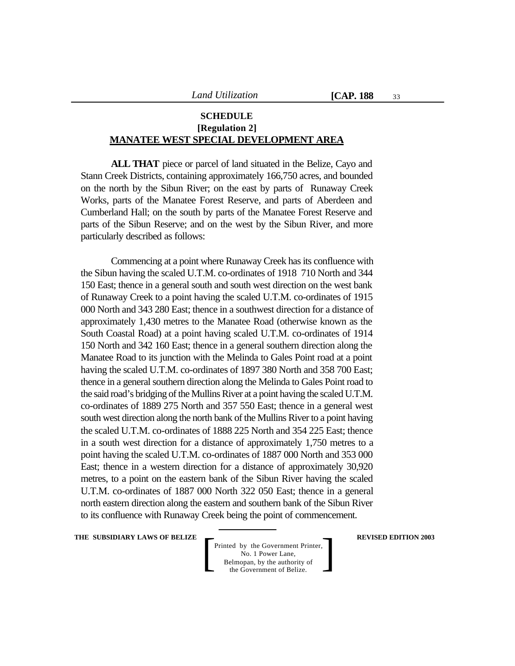33

# **SCHEDULE [Regulation 2] MANATEE WEST SPECIAL DEVELOPMENT AREA**

**ALL THAT** piece or parcel of land situated in the Belize, Cayo and Stann Creek Districts, containing approximately 166,750 acres, and bounded on the north by the Sibun River; on the east by parts of Runaway Creek Works, parts of the Manatee Forest Reserve, and parts of Aberdeen and Cumberland Hall; on the south by parts of the Manatee Forest Reserve and parts of the Sibun Reserve; and on the west by the Sibun River, and more particularly described as follows:

Commencing at a point where Runaway Creek has its confluence with the Sibun having the scaled U.T.M. co-ordinates of 1918 710 North and 344 150 East; thence in a general south and south west direction on the west bank of Runaway Creek to a point having the scaled U.T.M. co-ordinates of 1915 000 North and 343 280 East; thence in a southwest direction for a distance of approximately 1,430 metres to the Manatee Road (otherwise known as the South Coastal Road) at a point having scaled U.T.M. co-ordinates of 1914 150 North and 342 160 East; thence in a general southern direction along the Manatee Road to its junction with the Melinda to Gales Point road at a point having the scaled U.T.M. co-ordinates of 1897 380 North and 358 700 East; thence in a general southern direction along the Melinda to Gales Point road to the said road's bridging of the Mullins River at a point having the scaled U.T.M. co-ordinates of 1889 275 North and 357 550 East; thence in a general west south west direction along the north bank of the Mullins River to a point having the scaled U.T.M. co-ordinates of 1888 225 North and 354 225 East; thence in a south west direction for a distance of approximately 1,750 metres to a point having the scaled U.T.M. co-ordinates of 1887 000 North and 353 000 East; thence in a western direction for a distance of approximately 30,920 metres, to a point on the eastern bank of the Sibun River having the scaled U.T.M. co-ordinates of 1887 000 North 322 050 East; thence in a general north eastern direction along the eastern and southern bank of the Sibun River to its confluence with Runaway Creek being the point of commencement.

**THE SUBSIDIARY LAWS OF BELIZE**  $\qquad$  **REVISED EDITION 2003**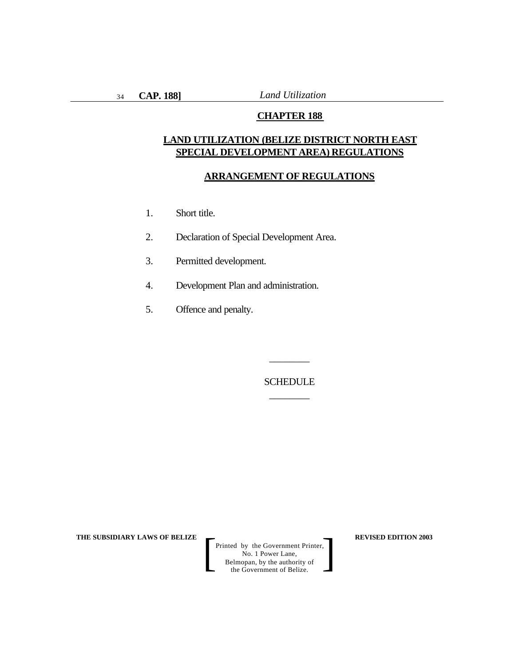# **CHAPTER 188**

# **LAND UTILIZATION (BELIZE DISTRICT NORTH EAST SPECIAL DEVELOPMENT AREA) REGULATIONS**

#### **ARRANGEMENT OF REGULATIONS**

- 1. Short title.
- 2. Declaration of Special Development Area.
- 3. Permitted development.
- 4. Development Plan and administration.
- 5. Offence and penalty.

SCHEDULE \_\_\_\_\_\_\_\_

\_\_\_\_\_\_\_\_

**THE SUBSIDIARY LAWS OF BELIZE**  $\qquad$  $\qquad$  **REVISED EDITION 2003**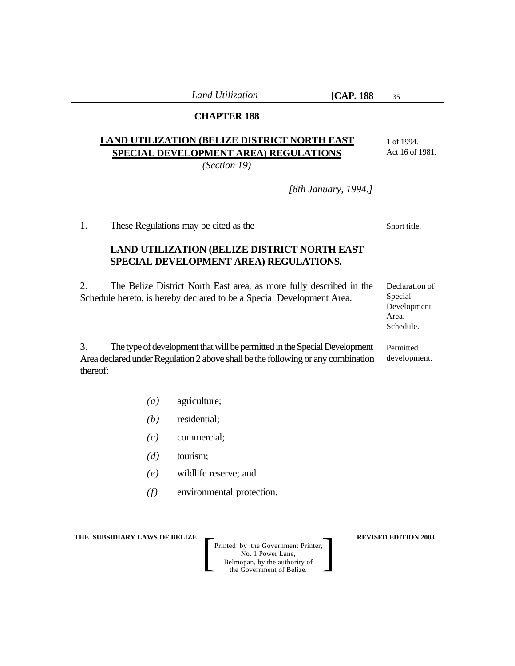35

# **CHAPTER 188**

# **LAND UTILIZATION (BELIZE DISTRICT NORTH EAST SPECIAL DEVELOPMENT AREA) REGULATIONS**

*(Section 19)*

1 of 1994. Act 16 of 1981.

*[8th January, 1994.]*

1. These Regulations may be cited as the

# **LAND UTILIZATION (BELIZE DISTRICT NORTH EAST SPECIAL DEVELOPMENT AREA) REGULATIONS.**

2. The Belize District North East area, as more fully described in the Schedule hereto, is hereby declared to be a Special Development Area.

Declaration of Special Development Area. Schedule.

3. The type of development that will be permitted in the Special Development Area declared under Regulation 2 above shall be the following or any combination thereof: Permitted development.

- *(a)* agriculture;
- *(b)* residential;
- *(c)* commercial;
- *(d)* tourism;
- *(e)* wildlife reserve; and
- *(f)* environmental protection.

**THE SUBSIDIARY LAWS OF BELIZE**  $\qquad$  **REVISED EDITION 2003** 

Printed by the Government Printer, No. 1 Power Lane, Belmopan, by the authority of Printed by the Government Printer,<br>
No. 1 Power Lane,<br>
Belmopan, by the authority of<br>
the Government of Belize.

Short title.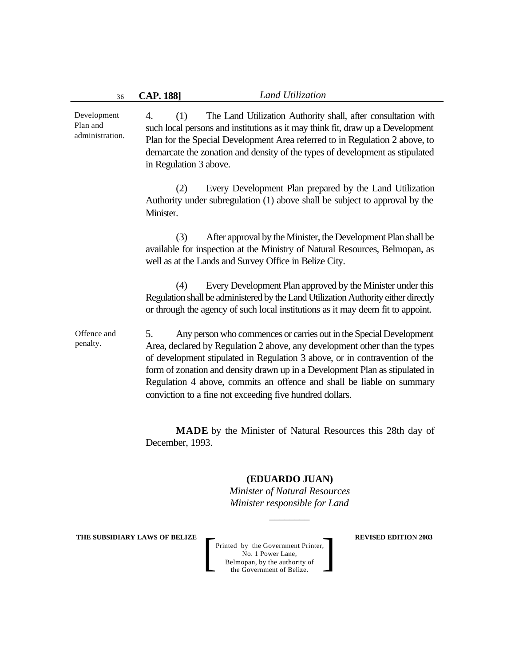4. (1) The Land Utilization Authority shall, after consultation with such local persons and institutions as it may think fit, draw up a Development Plan for the Special Development Area referred to in Regulation 2 above, to demarcate the zonation and density of the types of development as stipulated in Regulation 3 above. (2) Every Development Plan prepared by the Land Utilization Authority under subregulation (1) above shall be subject to approval by the Minister. (3) After approval by the Minister, the Development Plan shall be available for inspection at the Ministry of Natural Resources, Belmopan, as well as at the Lands and Survey Office in Belize City. (4) Every Development Plan approved by the Minister under this Regulation shall be administered by the Land Utilization Authority either directly or through the agency of such local institutions as it may deem fit to appoint. 5. Any person who commences or carries out in the Special Development Area, declared by Regulation 2 above, any development other than the types of development stipulated in Regulation 3 above, or in contravention of the form of zonation and density drawn up in a Development Plan as stipulated in Regulation 4 above, commits an offence and shall be liable on summary conviction to a fine not exceeding five hundred dollars. **MADE** by the Minister of Natural Resources this 28th day of December, 1993. Development Plan and administration. Offence and penalty.

#### **(EDUARDO JUAN)**

*Minister of Natural Resources Minister responsible for Land*

*\_\_\_\_\_\_\_\_*

**THE SUBSIDIARY LAWS OF BELIZE**  $\qquad$  **REVISED EDITION 2003**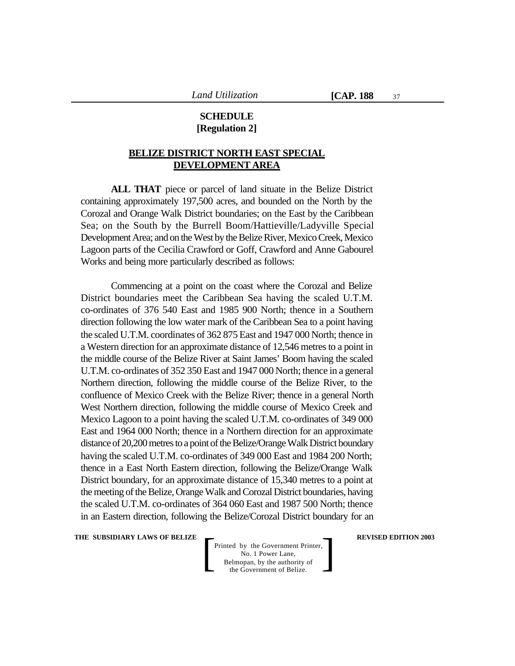## **SCHEDULE [Regulation 2]**

# **BELIZE DISTRICT NORTH EAST SPECIAL DEVELOPMENT AREA**

**ALL THAT** piece or parcel of land situate in the Belize District containing approximately 197,500 acres, and bounded on the North by the Corozal and Orange Walk District boundaries; on the East by the Caribbean Sea; on the South by the Burrell Boom/Hattieville/Ladyville Special Development Area; and on the West by the Belize River, Mexico Creek, Mexico Lagoon parts of the Cecilia Crawford or Goff, Crawford and Anne Gabourel Works and being more particularly described as follows:

Commencing at a point on the coast where the Corozal and Belize District boundaries meet the Caribbean Sea having the scaled U.T.M. co-ordinates of 376 540 East and 1985 900 North; thence in a Southern direction following the low water mark of the Caribbean Sea to a point having the scaled U.T.M. coordinates of 362 875 East and 1947 000 North; thence in a Western direction for an approximate distance of 12,546 metres to a point in the middle course of the Belize River at Saint James' Boom having the scaled U.T.M. co-ordinates of 352 350 East and 1947 000 North; thence in a general Northern direction, following the middle course of the Belize River, to the confluence of Mexico Creek with the Belize River; thence in a general North West Northern direction, following the middle course of Mexico Creek and Mexico Lagoon to a point having the scaled U.T.M. co-ordinates of 349 000 East and 1964 000 North; thence in a Northern direction for an approximate distance of 20,200 metres to a point of the Belize/Orange Walk District boundary having the scaled U.T.M. co-ordinates of 349 000 East and 1984 200 North; thence in a East North Eastern direction, following the Belize/Orange Walk District boundary, for an approximate distance of 15,340 metres to a point at the meeting of the Belize, Orange Walk and Corozal District boundaries, having the scaled U.T.M. co-ordinates of 364 060 East and 1987 500 North; thence in an Eastern direction, following the Belize/Corozal District boundary for an

**THE SUBSIDIARY LAWS OF BELIZE**  $\qquad$  **REVISED EDITION 2003**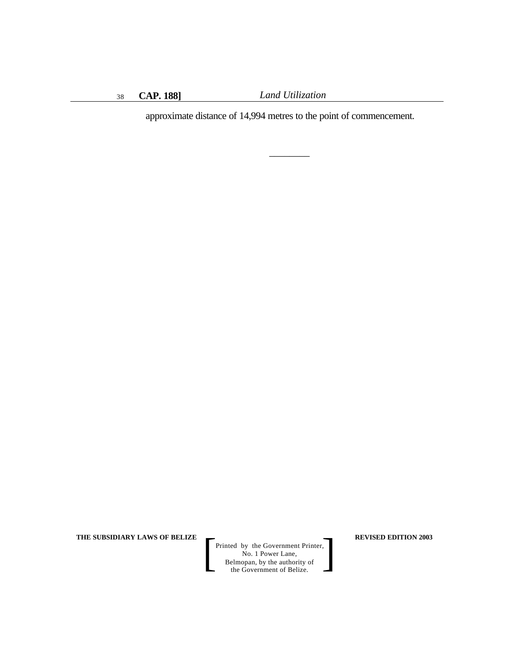\_\_\_\_\_\_\_\_

approximate distance of 14,994 metres to the point of commencement.

**THE SUBSIDIARY LAWS OF BELIZE REVISED EDITION 2003**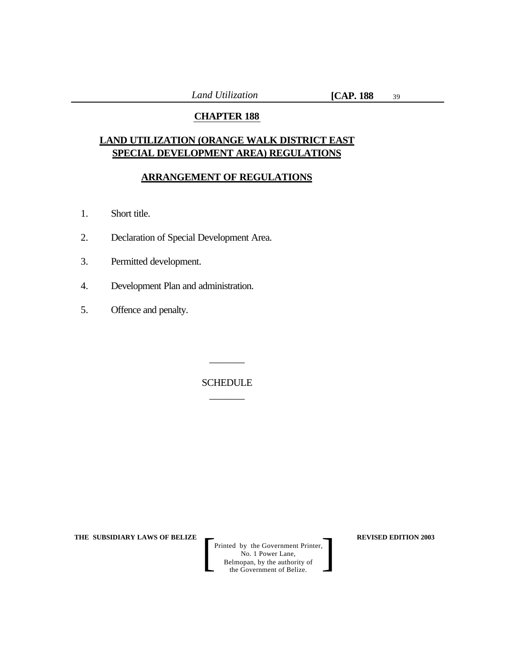# **CHAPTER 188**

# **LAND UTILIZATION (ORANGE WALK DISTRICT EAST SPECIAL DEVELOPMENT AREA) REGULATIONS**

# **ARRANGEMENT OF REGULATIONS**

- 1. Short title.
- 2. Declaration of Special Development Area.
- 3. Permitted development.
- 4. Development Plan and administration.
- 5. Offence and penalty.

SCHEDULE  $\overline{\phantom{a}}$ 

 $\overline{\phantom{a}}$ 

**THE SUBSIDIARY LAWS OF BELIZE**  $\qquad$  **REVISED EDITION 2003**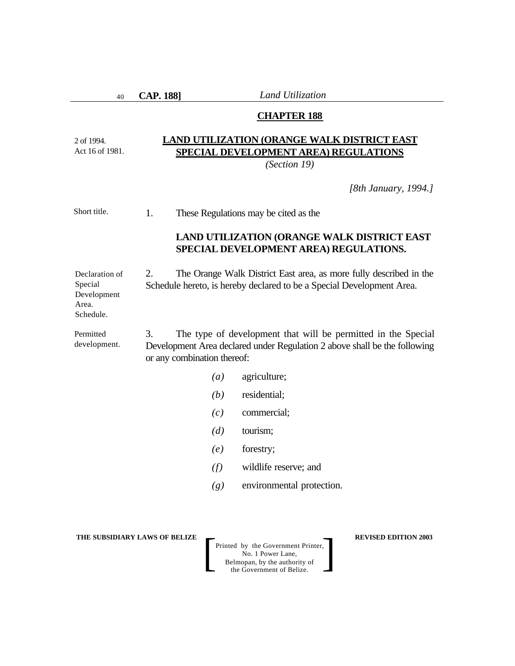40

2 of 1994. Act 16 of 1981.

Schedule.

**CAP. 188]** *Land Utilization*

#### **CHAPTER 188**

# **LAND UTILIZATION (ORANGE WALK DISTRICT EAST SPECIAL DEVELOPMENT AREA) REGULATIONS**

*(Section 19)*

*[8th January, 1994.]*

1. These Regulations may be cited as the Short title.

# **LAND UTILIZATION (ORANGE WALK DISTRICT EAST SPECIAL DEVELOPMENT AREA) REGULATIONS.**

2. The Orange Walk District East area, as more fully described in the Schedule hereto, is hereby declared to be a Special Development Area. Declaration of Special Development Area.

3. The type of development that will be permitted in the Special Development Area declared under Regulation 2 above shall be the following or any combination thereof: Permitted development.

- *(a)* agriculture;
- *(b)* residential;
- *(c)* commercial;
- *(d)* tourism;
- *(e)* forestry;
- *(f)* wildlife reserve; and
- *(g)* environmental protection.

**THE SUBSIDIARY LAWS OF BELIZE**  $\qquad$  **REVISED EDITION 2003**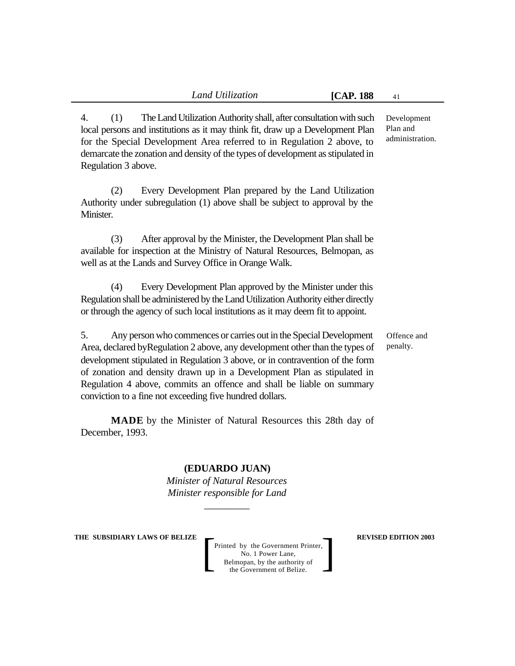4. (1) The Land Utilization Authority shall, after consultation with such local persons and institutions as it may think fit, draw up a Development Plan for the Special Development Area referred to in Regulation 2 above, to demarcate the zonation and density of the types of development as stipulated in Regulation 3 above.

(2) Every Development Plan prepared by the Land Utilization Authority under subregulation (1) above shall be subject to approval by the Minister.

(3) After approval by the Minister, the Development Plan shall be available for inspection at the Ministry of Natural Resources, Belmopan, as well as at the Lands and Survey Office in Orange Walk.

(4) Every Development Plan approved by the Minister under this Regulation shall be administered by the Land Utilization Authority either directly or through the agency of such local institutions as it may deem fit to appoint.

> Offence and penalty.

5. Any person who commences or carries out in the Special Development Area, declared byRegulation 2 above, any development other than the types of development stipulated in Regulation 3 above, or in contravention of the form of zonation and density drawn up in a Development Plan as stipulated in Regulation 4 above, commits an offence and shall be liable on summary conviction to a fine not exceeding five hundred dollars.

**MADE** by the Minister of Natural Resources this 28th day of December, 1993.

**(EDUARDO JUAN)**

*Minister of Natural Resources Minister responsible for Land*

*\_\_\_\_\_\_\_\_\_*

**THE SUBSIDIARY LAWS OF BELIZE**  $\qquad$  **REVISED EDITION 2003** 

Printed by the Government Printer, No. 1 Power Lane, Belmopan, by the authority of Printed by the Government Printer,<br>
No. 1 Power Lane,<br>
Belmopan, by the authority of<br>
the Government of Belize.

Development Plan and administration.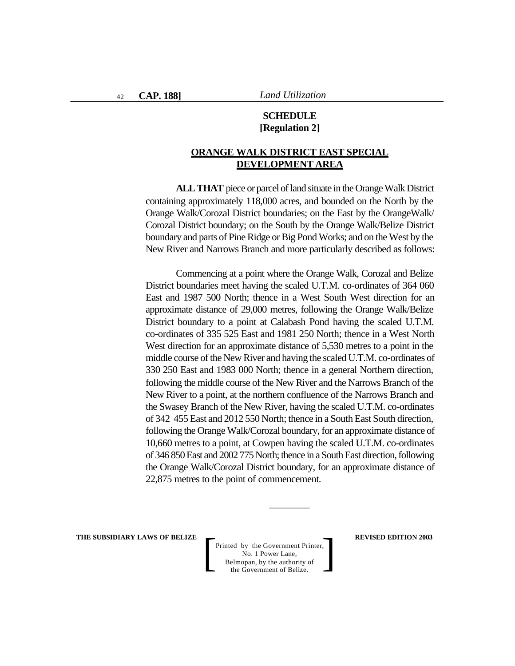# **SCHEDULE [Regulation 2]**

# **ORANGE WALK DISTRICT EAST SPECIAL DEVELOPMENT AREA**

**ALL THAT** piece or parcel of land situate in the Orange Walk District containing approximately 118,000 acres, and bounded on the North by the Orange Walk/Corozal District boundaries; on the East by the OrangeWalk/ Corozal District boundary; on the South by the Orange Walk/Belize District boundary and parts of Pine Ridge or Big Pond Works; and on the West by the New River and Narrows Branch and more particularly described as follows:

Commencing at a point where the Orange Walk, Corozal and Belize District boundaries meet having the scaled U.T.M. co-ordinates of 364 060 East and 1987 500 North; thence in a West South West direction for an approximate distance of 29,000 metres, following the Orange Walk/Belize District boundary to a point at Calabash Pond having the scaled U.T.M. co-ordinates of 335 525 East and 1981 250 North; thence in a West North West direction for an approximate distance of 5,530 metres to a point in the middle course of the New River and having the scaled U.T.M. co-ordinates of 330 250 East and 1983 000 North; thence in a general Northern direction, following the middle course of the New River and the Narrows Branch of the New River to a point, at the northern confluence of the Narrows Branch and the Swasey Branch of the New River, having the scaled U.T.M. co-ordinates of 342 455 East and 2012 550 North; thence in a South East South direction, following the Orange Walk/Corozal boundary, for an approximate distance of 10,660 metres to a point, at Cowpen having the scaled U.T.M. co-ordinates of 346 850 East and 2002 775 North; thence in a South East direction, following the Orange Walk/Corozal District boundary, for an approximate distance of 22,875 metres to the point of commencement.

\_\_\_\_\_\_\_\_

**THE SUBSIDIARY LAWS OF BELIZE**  $\qquad$  **REVISED EDITION 2003**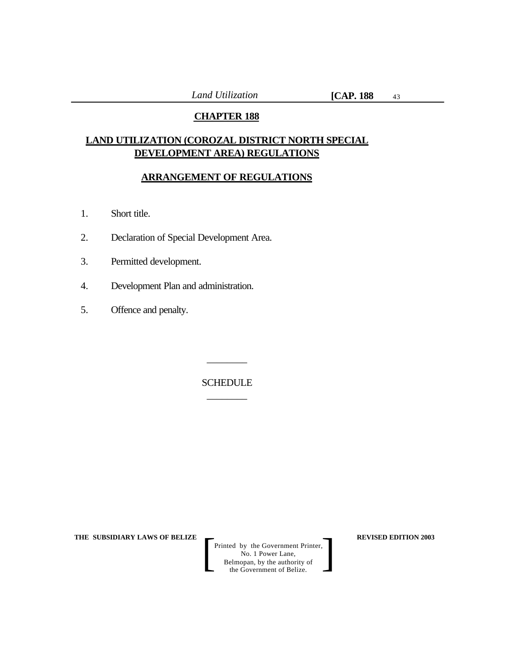# **CHAPTER 188**

# **LAND UTILIZATION (COROZAL DISTRICT NORTH SPECIAL DEVELOPMENT AREA) REGULATIONS**

# **ARRANGEMENT OF REGULATIONS**

- 1. Short title.
- 2. Declaration of Special Development Area.
- 3. Permitted development.
- 4. Development Plan and administration.
- 5. Offence and penalty.

SCHEDULE \_\_\_\_\_\_\_\_

\_\_\_\_\_\_\_\_

**THE SUBSIDIARY LAWS OF BELIZE**  $\qquad$  **REVISED EDITION 2003**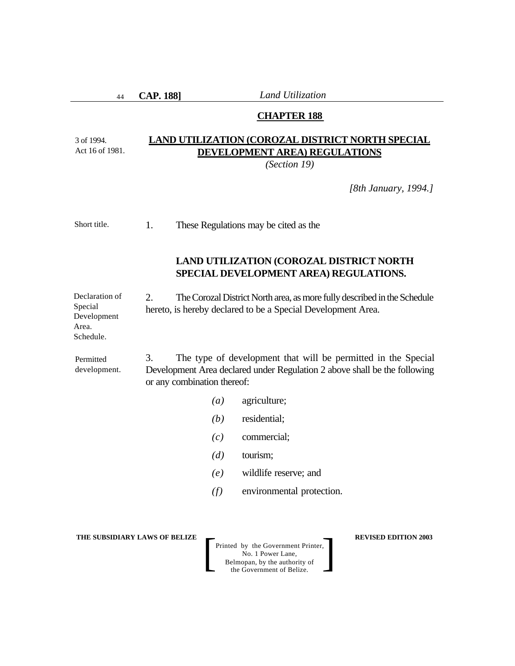44

3 of 1994.

Schedule.

**CAP. 188]** *Land Utilization*

#### **CHAPTER 188**

#### **LAND UTILIZATION (COROZAL DISTRICT NORTH SPECIAL DEVELOPMENT AREA) REGULATIONS** Act 16 of 1981.

*(Section 19)*

*[8th January, 1994.]*

1. These Regulations may be cited as the Short title.

# **LAND UTILIZATION (COROZAL DISTRICT NORTH SPECIAL DEVELOPMENT AREA) REGULATIONS.**

2. The Corozal District North area, as more fully described in the Schedule hereto, is hereby declared to be a Special Development Area. Declaration of Special Development Area.

3. The type of development that will be permitted in the Special Development Area declared under Regulation 2 above shall be the following or any combination thereof: Permitted development.

- *(a)* agriculture;
- *(b)* residential;
- *(c)* commercial;
- *(d)* tourism;
- *(e)* wildlife reserve; and
- *(f)* environmental protection.

**THE SUBSIDIARY LAWS OF BELIZE**  $\qquad$  **REVISED EDITION 2003**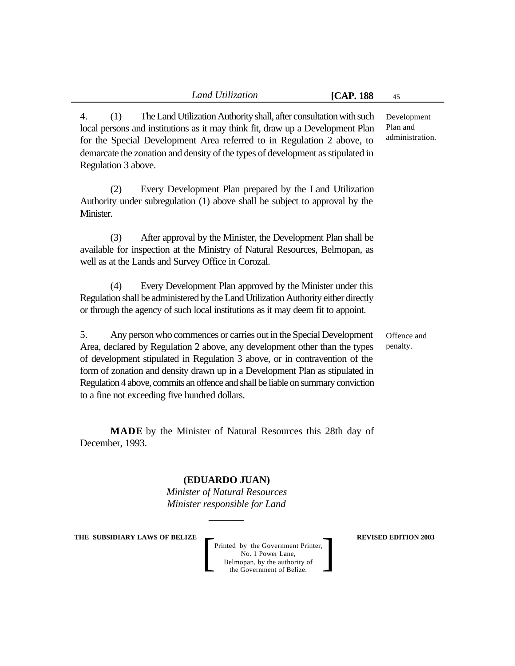4. (1) The Land Utilization Authority shall, after consultation with such local persons and institutions as it may think fit, draw up a Development Plan for the Special Development Area referred to in Regulation 2 above, to demarcate the zonation and density of the types of development as stipulated in Regulation 3 above.

(2) Every Development Plan prepared by the Land Utilization Authority under subregulation (1) above shall be subject to approval by the Minister.

(3) After approval by the Minister, the Development Plan shall be available for inspection at the Ministry of Natural Resources, Belmopan, as well as at the Lands and Survey Office in Corozal.

(4) Every Development Plan approved by the Minister under this Regulation shall be administered by the Land Utilization Authority either directly or through the agency of such local institutions as it may deem fit to appoint.

> Offence and penalty.

5. Any person who commences or carries out in the Special Development Area, declared by Regulation 2 above, any development other than the types of development stipulated in Regulation 3 above, or in contravention of the form of zonation and density drawn up in a Development Plan as stipulated in Regulation 4 above, commits an offence and shall be liable on summary conviction to a fine not exceeding five hundred dollars.

**MADE** by the Minister of Natural Resources this 28th day of December, 1993.

**(EDUARDO JUAN)**

*Minister of Natural Resources Minister responsible for Land*

*\_\_\_\_\_\_\_*

**THE SUBSIDIARY LAWS OF BELIZE**  $\qquad$  **REVISED EDITION 2003** 

Printed by the Government Printer, No. 1 Power Lane, Belmopan, by the authority of the Government of Belize. Printed by the Government Printer,<br>No. 1 Power Lane,<br>Belmopan, by the authority of<br>the Government of Belize.

Development Plan and administration.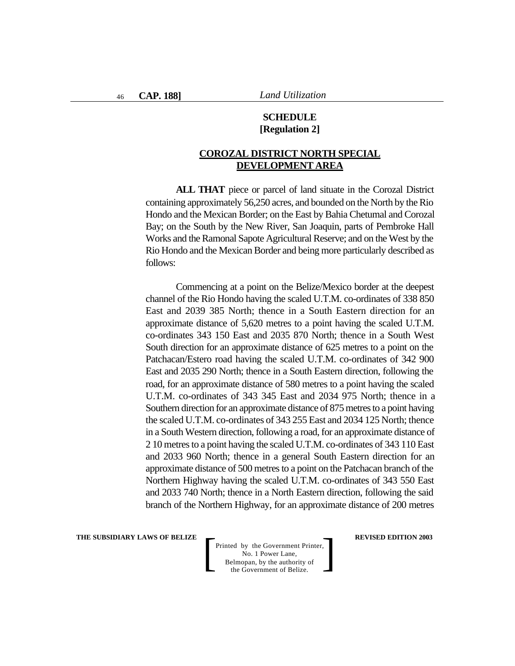# **SCHEDULE [Regulation 2]**

# **COROZAL DISTRICT NORTH SPECIAL DEVELOPMENT AREA**

**ALL THAT** piece or parcel of land situate in the Corozal District containing approximately 56,250 acres, and bounded on the North by the Rio Hondo and the Mexican Border; on the East by Bahia Chetumal and Corozal Bay; on the South by the New River, San Joaquin, parts of Pembroke Hall Works and the Ramonal Sapote Agricultural Reserve; and on the West by the Rio Hondo and the Mexican Border and being more particularly described as follows:

Commencing at a point on the Belize/Mexico border at the deepest channel of the Rio Hondo having the scaled U.T.M. co-ordinates of 338 850 East and 2039 385 North; thence in a South Eastern direction for an approximate distance of 5,620 metres to a point having the scaled U.T.M. co-ordinates 343 150 East and 2035 870 North; thence in a South West South direction for an approximate distance of 625 metres to a point on the Patchacan/Estero road having the scaled U.T.M. co-ordinates of 342 900 East and 2035 290 North; thence in a South Eastern direction, following the road, for an approximate distance of 580 metres to a point having the scaled U.T.M. co-ordinates of 343 345 East and 2034 975 North; thence in a Southern direction for an approximate distance of 875 metres to a point having the scaled U.T.M. co-ordinates of 343 255 East and 2034 125 North; thence in a South Western direction, following a road, for an approximate distance of 2 10 metres to a point having the scaled U.T.M. co-ordinates of 343 110 East and 2033 960 North; thence in a general South Eastern direction for an approximate distance of 500 metres to a point on the Patchacan branch of the Northern Highway having the scaled U.T.M. co-ordinates of 343 550 East and 2033 740 North; thence in a North Eastern direction, following the said branch of the Northern Highway, for an approximate distance of 200 metres

**THE SUBSIDIARY LAWS OF BELIZE**  $\qquad$  **REVISED EDITION 2003**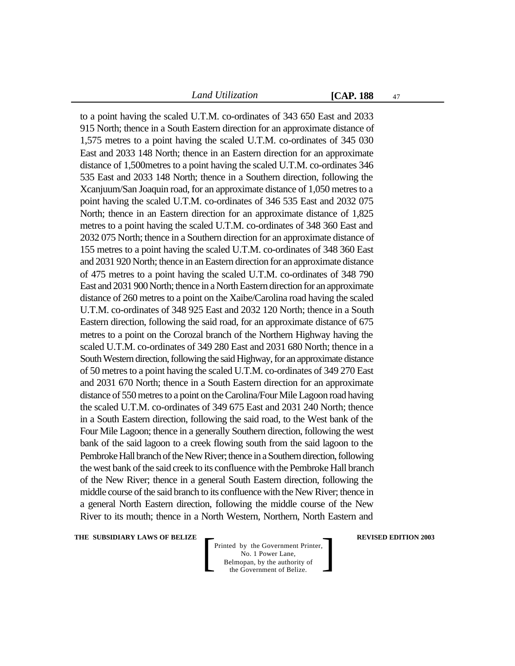47

to a point having the scaled U.T.M. co-ordinates of 343 650 East and 2033 915 North; thence in a South Eastern direction for an approximate distance of 1,575 metres to a point having the scaled U.T.M. co-ordinates of 345 030 East and 2033 148 North; thence in an Eastern direction for an approximate distance of 1,500metres to a point having the scaled U.T.M. co-ordinates 346 535 East and 2033 148 North; thence in a Southern direction, following the Xcanjuum/San Joaquin road, for an approximate distance of 1,050 metres to a point having the scaled U.T.M. co-ordinates of 346 535 East and 2032 075 North; thence in an Eastern direction for an approximate distance of 1,825 metres to a point having the scaled U.T.M. co-ordinates of 348 360 East and 2032 075 North; thence in a Southern direction for an approximate distance of 155 metres to a point having the scaled U.T.M. co-ordinates of 348 360 East and 2031 920 North; thence in an Eastern direction for an approximate distance of 475 metres to a point having the scaled U.T.M. co-ordinates of 348 790 East and 2031 900 North; thence in a North Eastern direction for an approximate distance of 260 metres to a point on the Xaibe/Carolina road having the scaled U.T.M. co-ordinates of 348 925 East and 2032 120 North; thence in a South Eastern direction, following the said road, for an approximate distance of 675 metres to a point on the Corozal branch of the Northern Highway having the scaled U.T.M. co-ordinates of 349 280 East and 2031 680 North; thence in a South Western direction, following the said Highway, for an approximate distance of 50 metres to a point having the scaled U.T.M. co-ordinates of 349 270 East and 2031 670 North; thence in a South Eastern direction for an approximate distance of 550 metres to a point on the Carolina/Four Mile Lagoon road having the scaled U.T.M. co-ordinates of 349 675 East and 2031 240 North; thence in a South Eastern direction, following the said road, to the West bank of the Four Mile Lagoon; thence in a generally Southern direction, following the west bank of the said lagoon to a creek flowing south from the said lagoon to the Pembroke Hall branch of the New River; thence in a Southern direction, following the west bank of the said creek to its confluence with the Pembroke Hall branch of the New River; thence in a general South Eastern direction, following the middle course of the said branch to its confluence with the New River; thence in a general North Eastern direction, following the middle course of the New River to its mouth; thence in a North Western, Northern, North Eastern and

**THE SUBSIDIARY LAWS OF BELIZE**  $\qquad$  **<b>REVISED EDITION 2003**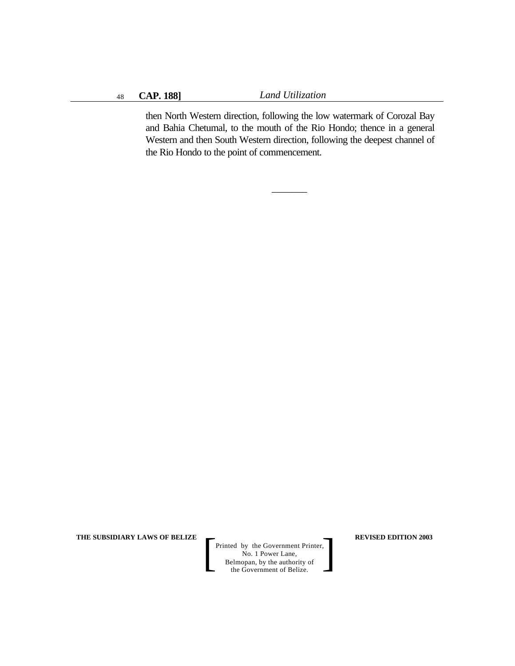then North Western direction, following the low watermark of Corozal Bay and Bahia Chetumal, to the mouth of the Rio Hondo; thence in a general Western and then South Western direction, following the deepest channel of the Rio Hondo to the point of commencement.

 $\overline{\phantom{a}}$ 

**THE SUBSIDIARY LAWS OF BELIZE REVISED EDITION 2003**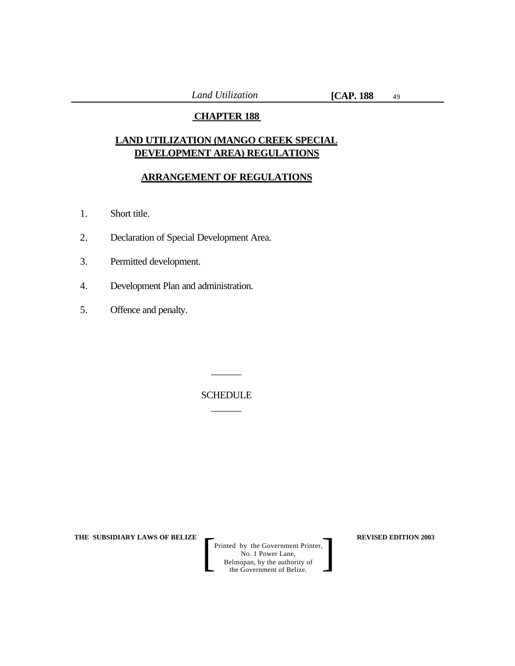# **CHAPTER 188**

# **LAND UTILIZATION (MANGO CREEK SPECIAL DEVELOPMENT AREA) REGULATIONS**

# **ARRANGEMENT OF REGULATIONS**

- 1. Short title.
- 2. Declaration of Special Development Area.
- 3. Permitted development.
- 4. Development Plan and administration.
- 5. Offence and penalty.

# SCHEDULE  $\overline{\phantom{a}}$

 $\overline{\phantom{a}}$ 

**THE SUBSIDIARY LAWS OF BELIZE**  $\qquad$  **REVISED EDITION 2003**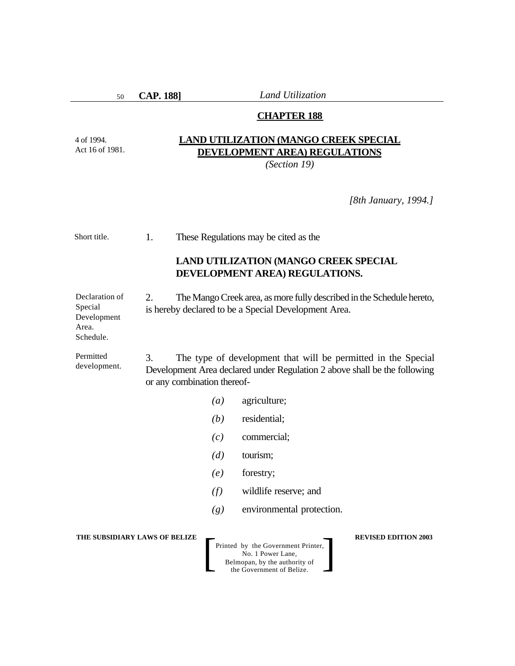50

4 of 1994. Act 16 of 1981. **CAP. 188]** *Land Utilization*

# **CHAPTER 188**

# **LAND UTILIZATION (MANGO CREEK SPECIAL DEVELOPMENT AREA) REGULATIONS**

*(Section 19)*

*[8th January, 1994.]*

| Short title.                                                   | 1.<br>These Regulations may be cited as the |                                                                                                                                                                           |                                                                                                                       |                             |  |
|----------------------------------------------------------------|---------------------------------------------|---------------------------------------------------------------------------------------------------------------------------------------------------------------------------|-----------------------------------------------------------------------------------------------------------------------|-----------------------------|--|
|                                                                |                                             | <b>LAND UTILIZATION (MANGO CREEK SPECIAL</b><br>DEVELOPMENT AREA) REGULATIONS.                                                                                            |                                                                                                                       |                             |  |
| Declaration of<br>Special<br>Development<br>Area.<br>Schedule. | 2.                                          | The Mango Creek area, as more fully described in the Schedule hereto,<br>is hereby declared to be a Special Development Area.                                             |                                                                                                                       |                             |  |
| Permitted<br>development.                                      | 3.                                          | The type of development that will be permitted in the Special<br>Development Area declared under Regulation 2 above shall be the following<br>or any combination thereof- |                                                                                                                       |                             |  |
|                                                                |                                             | agriculture;<br>(a)                                                                                                                                                       |                                                                                                                       |                             |  |
|                                                                |                                             | (b)                                                                                                                                                                       | residential;                                                                                                          |                             |  |
|                                                                |                                             | (c)                                                                                                                                                                       | commercial;                                                                                                           |                             |  |
|                                                                |                                             | (d)                                                                                                                                                                       | tourism;                                                                                                              |                             |  |
|                                                                |                                             | (e)                                                                                                                                                                       | forestry;                                                                                                             |                             |  |
|                                                                |                                             | (f)                                                                                                                                                                       | wildlife reserve; and                                                                                                 |                             |  |
|                                                                |                                             | (g)                                                                                                                                                                       | environmental protection.                                                                                             |                             |  |
| THE SUBSIDIARY LAWS OF BELIZE                                  |                                             |                                                                                                                                                                           | Printed by the Government Printer,<br>No. 1 Power Lane,<br>Belmopan, by the authority of<br>the Government of Belize. | <b>REVISED EDITION 2003</b> |  |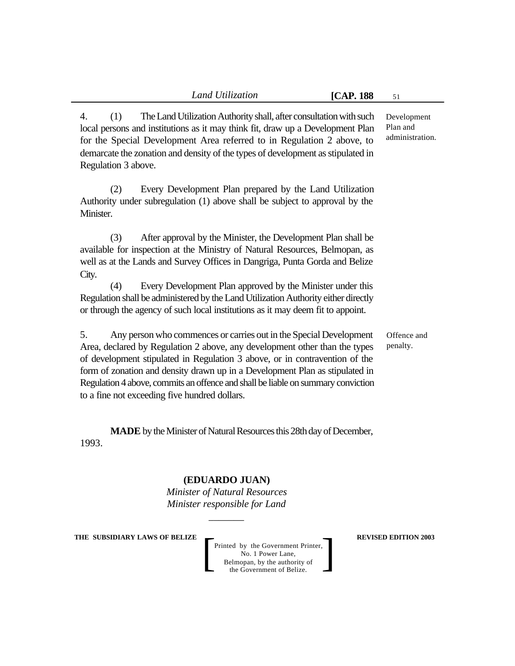4. (1) The Land Utilization Authority shall, after consultation with such local persons and institutions as it may think fit, draw up a Development Plan for the Special Development Area referred to in Regulation 2 above, to demarcate the zonation and density of the types of development as stipulated in Regulation 3 above.

(2) Every Development Plan prepared by the Land Utilization Authority under subregulation (1) above shall be subject to approval by the Minister.

(3) After approval by the Minister, the Development Plan shall be available for inspection at the Ministry of Natural Resources, Belmopan, as well as at the Lands and Survey Offices in Dangriga, Punta Gorda and Belize City.

(4) Every Development Plan approved by the Minister under this Regulation shall be administered by the Land Utilization Authority either directly or through the agency of such local institutions as it may deem fit to appoint.

5. Any person who commences or carries out in the Special Development Area, declared by Regulation 2 above, any development other than the types of development stipulated in Regulation 3 above, or in contravention of the form of zonation and density drawn up in a Development Plan as stipulated in Regulation 4 above, commits an offence and shall be liable on summary conviction to a fine not exceeding five hundred dollars.

**MADE** by the Minister of Natural Resources this 28th day of December, 1993.

# **(EDUARDO JUAN)**

*Minister of Natural Resources Minister responsible for Land*

*\_\_\_\_\_\_\_*

#### **THE SUBSIDIARY LAWS OF BELIZE**  $\qquad$  **REVISED EDITION 2003**

Printed by the Government Printer, No. 1 Power Lane, Belmopan, by the authority of Printed by the Government Printer,<br>
No. 1 Power Lane,<br>
Belmopan, by the authority of<br>
the Government of Belize.

administration.

Development Plan and

Offence and penalty.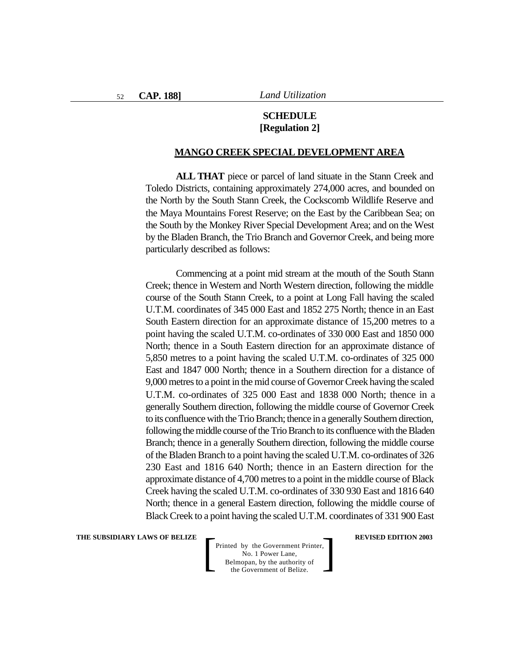# **SCHEDULE [Regulation 2]**

#### **MANGO CREEK SPECIAL DEVELOPMENT AREA**

**ALL THAT** piece or parcel of land situate in the Stann Creek and Toledo Districts, containing approximately 274,000 acres, and bounded on the North by the South Stann Creek, the Cockscomb Wildlife Reserve and the Maya Mountains Forest Reserve; on the East by the Caribbean Sea; on the South by the Monkey River Special Development Area; and on the West by the Bladen Branch, the Trio Branch and Governor Creek, and being more particularly described as follows:

Commencing at a point mid stream at the mouth of the South Stann Creek; thence in Western and North Western direction, following the middle course of the South Stann Creek, to a point at Long Fall having the scaled U.T.M. coordinates of 345 000 East and 1852 275 North; thence in an East South Eastern direction for an approximate distance of 15,200 metres to a point having the scaled U.T.M. co-ordinates of 330 000 East and 1850 000 North; thence in a South Eastern direction for an approximate distance of 5,850 metres to a point having the scaled U.T.M. co-ordinates of 325 000 East and 1847 000 North; thence in a Southern direction for a distance of 9,000 metres to a point in the mid course of Governor Creek having the scaled U.T.M. co-ordinates of 325 000 East and 1838 000 North; thence in a generally Southern direction, following the middle course of Governor Creek to its confluence with the Trio Branch; thence in a generally Southern direction, following the middle course of the Trio Branch to its confluence with the Bladen Branch; thence in a generally Southern direction, following the middle course of the Bladen Branch to a point having the scaled U.T.M. co-ordinates of 326 230 East and 1816 640 North; thence in an Eastern direction for the approximate distance of 4,700 metres to a point in the middle course of Black Creek having the scaled U.T.M. co-ordinates of 330 930 East and 1816 640 North; thence in a general Eastern direction, following the middle course of Black Creek to a point having the scaled U.T.M. coordinates of 331 900 East

**THE SUBSIDIARY LAWS OF BELIZE**  $\qquad$  **REVISED EDITION 2003**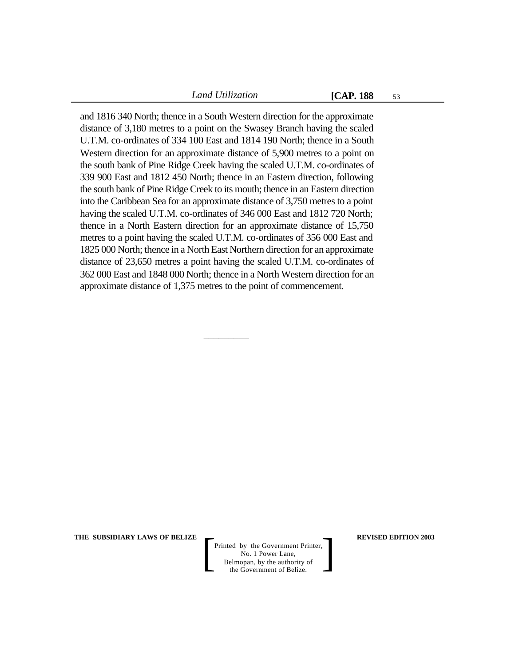53

and 1816 340 North; thence in a South Western direction for the approximate distance of 3,180 metres to a point on the Swasey Branch having the scaled U.T.M. co-ordinates of 334 100 East and 1814 190 North; thence in a South Western direction for an approximate distance of 5,900 metres to a point on the south bank of Pine Ridge Creek having the scaled U.T.M. co-ordinates of 339 900 East and 1812 450 North; thence in an Eastern direction, following the south bank of Pine Ridge Creek to its mouth; thence in an Eastern direction into the Caribbean Sea for an approximate distance of 3,750 metres to a point having the scaled U.T.M. co-ordinates of 346 000 East and 1812 720 North; thence in a North Eastern direction for an approximate distance of 15,750 metres to a point having the scaled U.T.M. co-ordinates of 356 000 East and 1825 000 North; thence in a North East Northern direction for an approximate distance of 23,650 metres a point having the scaled U.T.M. co-ordinates of 362 000 East and 1848 000 North; thence in a North Western direction for an approximate distance of 1,375 metres to the point of commencement.

 $\overline{\phantom{a}}$  , where  $\overline{\phantom{a}}$ 

**THE SUBSIDIARY LAWS OF BELIZE**  $\qquad$  **REVISED EDITION 2003**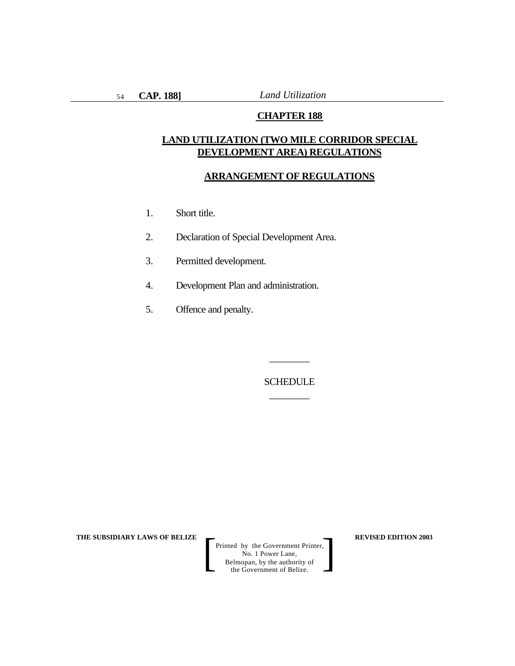## **CHAPTER 188**

# **LAND UTILIZATION (TWO MILE CORRIDOR SPECIAL DEVELOPMENT AREA) REGULATIONS**

#### **ARRANGEMENT OF REGULATIONS**

- 1. Short title.
- 2. Declaration of Special Development Area.
- 3. Permitted development.
- 4. Development Plan and administration.
- 5. Offence and penalty.

SCHEDULE \_\_\_\_\_\_\_\_

\_\_\_\_\_\_\_\_

**THE SUBSIDIARY LAWS OF BELIZE**  $\qquad$  $\qquad$  **REVISED EDITION 2003**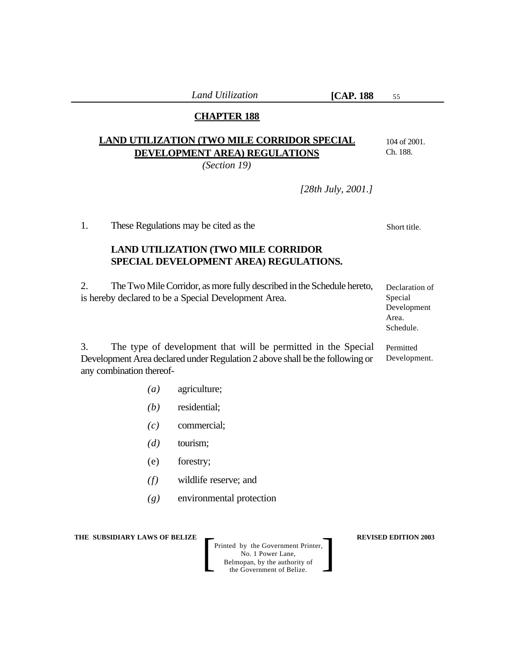55

# **CHAPTER 188**

# **LAND UTILIZATION (TWO MILE CORRIDOR SPECIAL DEVELOPMENT AREA) REGULATIONS**

*(Section 19)*

*[28th July, 2001.]*

1. These Regulations may be cited as the

# **LAND UTILIZATION (TWO MILE CORRIDOR SPECIAL DEVELOPMENT AREA) REGULATIONS.**

2. The Two Mile Corridor, as more fully described in the Schedule hereto, is hereby declared to be a Special Development Area.

3. The type of development that will be permitted in the Special Development Area declared under Regulation 2 above shall be the following or any combination thereof-

- *(a)* agriculture;
- *(b)* residential;
- *(c)* commercial;
- *(d)* tourism;
- (e) forestry;
- *(f)* wildlife reserve; and
- *(g)* environmental protection

**THE SUBSIDIARY LAWS OF BELIZE**  $\qquad$  **REVISED EDITION 2003** 

Printed by the Government Printer, No. 1 Power Lane, Belmopan, by the authority of Printed by the Government Printer,<br>
No. 1 Power Lane,<br>
Belmopan, by the authority of<br>
the Government of Belize.

Declaration of Special Development Area. Schedule.

Permitted Development.

Short title.

104 of 2001. Ch. 188.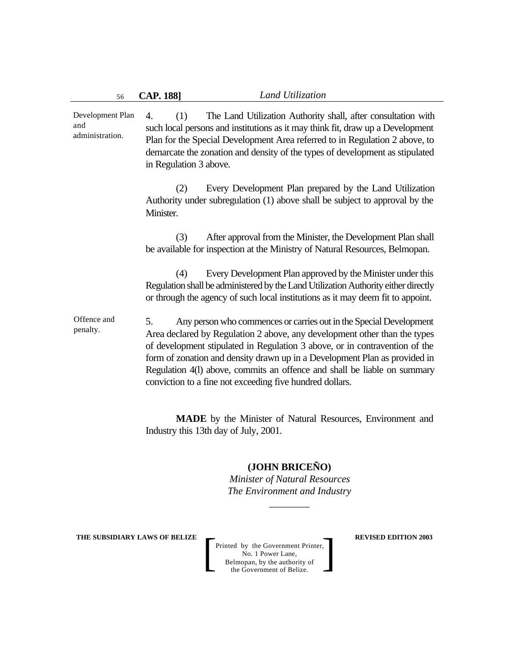4. (1) The Land Utilization Authority shall, after consultation with such local persons and institutions as it may think fit, draw up a Development Plan for the Special Development Area referred to in Regulation 2 above, to demarcate the zonation and density of the types of development as stipulated in Regulation 3 above. (2) Every Development Plan prepared by the Land Utilization Authority under subregulation (1) above shall be subject to approval by the Minister. (3) After approval from the Minister, the Development Plan shall be available for inspection at the Ministry of Natural Resources, Belmopan. (4) Every Development Plan approved by the Minister under this Regulation shall be administered by the Land Utilization Authority either directly or through the agency of such local institutions as it may deem fit to appoint. 5. Any person who commences or carries out in the Special Development Area declared by Regulation 2 above, any development other than the types of development stipulated in Regulation 3 above, or in contravention of the form of zonation and density drawn up in a Development Plan as provided in Regulation 4(l) above, commits an offence and shall be liable on summary conviction to a fine not exceeding five hundred dollars. Development Plan and administration. Offence and penalty.

> **MADE** by the Minister of Natural Resources, Environment and Industry this 13th day of July, 2001.

> > **(JOHN BRICEÑO)**

*Minister of Natural Resources The Environment and Industry*

*\_\_\_\_\_\_\_\_*

**THE SUBSIDIARY LAWS OF BELIZE**  $\qquad$  **REVISED EDITION 2003**